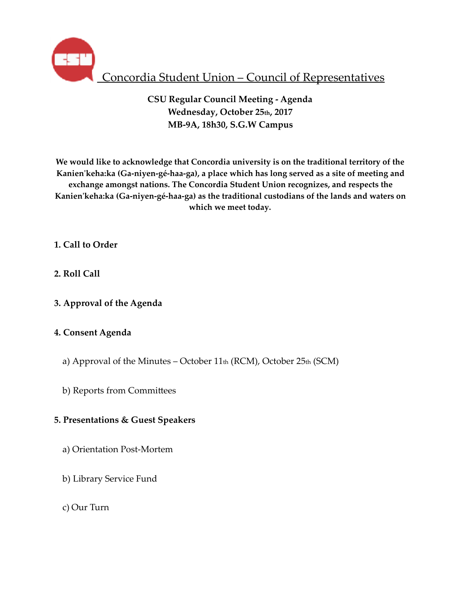

# Concordia Student Union – Council of Representatives

**CSU Regular Council Meeting - Agenda Wednesday, October 25th, 2017 MB-9A, 18h30, S.G.W Campus** 

**We would like to acknowledge that Concordia university is on the traditional territory of the Kanien'keha:ka (Ga-niyen-gé-haa-ga), a place which has long served as a site of meeting and exchange amongst nations. The Concordia Student Union recognizes, and respects the Kanien'keha:ka (Ga-niyen-gé-haa-ga) as the traditional custodians of the lands and waters on which we meet today.** 

- **1. Call to Order**
- **2. Roll Call**
- **3. Approval of the Agenda**

# **4. Consent Agenda**

- a) Approval of the Minutes October  $11<sub>th</sub>$  (RCM), October  $25<sub>th</sub>$  (SCM)
- b) Reports from Committees

# **5. Presentations & Guest Speakers**

- a) Orientation Post-Mortem
- b) Library Service Fund
- c) Our Turn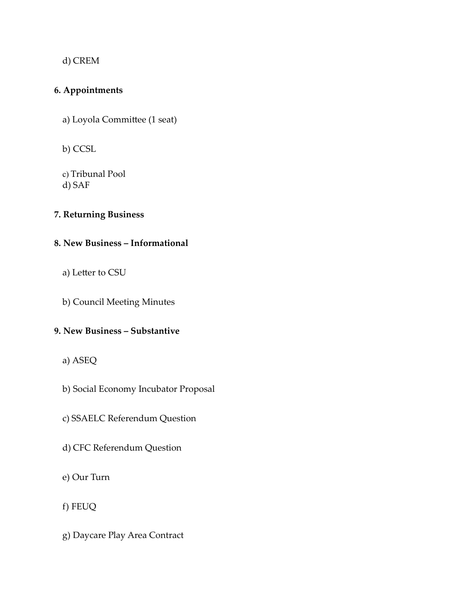d) CREM

# **6. Appointments**

a) Loyola Committee (1 seat)

b) CCSL

c) Tribunal Pool d) SAF

# **7. Returning Business**

# **8. New Business – Informational**

- a) Letter to CSU
- b) Council Meeting Minutes

# **9. New Business – Substantive**

- a) ASEQ
- b) Social Economy Incubator Proposal
- c) SSAELC Referendum Question
- d) CFC Referendum Question
- e) Our Turn
- f) FEUQ
- g) Daycare Play Area Contract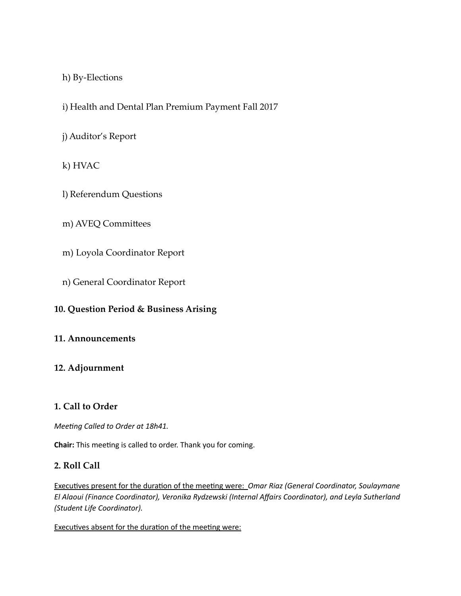# h) By-Elections

i) Health and Dental Plan Premium Payment Fall 2017

# j) Auditor's Report

k) HVAC

- l) Referendum Questions
- m) AVEQ Committees
- m) Loyola Coordinator Report
- n) General Coordinator Report

# **10. Question Period & Business Arising**

# **11. Announcements**

# **12. Adjournment**

# **1. Call to Order**

*Meeting Called to Order at 18h41.* 

**Chair:** This meeting is called to order. Thank you for coming.

# **2. Roll Call**

Executives present for the duration of the meeting were: *Omar Riaz (General Coordinator, Soulaymane El Alaoui (Finance Coordinator), Veronika Rydzewski (Internal Affairs Coordinator), and Leyla Sutherland (Student Life Coordinator).* 

Executives absent for the duration of the meeting were: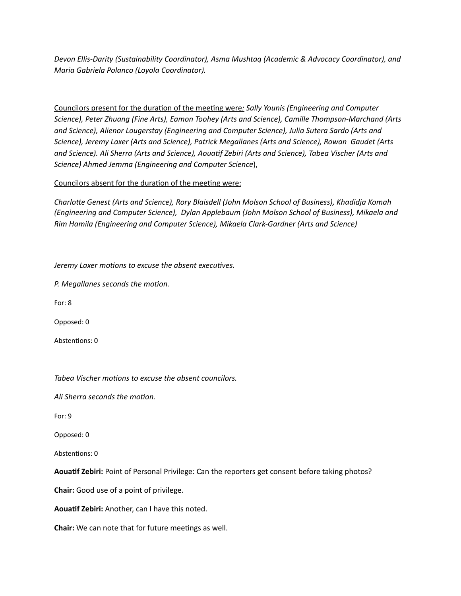Devon Ellis-Darity (Sustainability Coordinator), Asma Mushtaq (Academic & Advocacy Coordinator), and *Maria Gabriela Polanco (Loyola Coordinator).* 

Councilors present for the duration of the meeting were: Sally Younis (Engineering and Computer Science), Peter Zhuang (Fine Arts), Eamon Toohey (Arts and Science), Camille Thompson-Marchand (Arts and Science), Alienor Lougerstay (Engineering and Computer Science), Julia Sutera Sardo (Arts and Science), Jeremy Laxer (Arts and Science), Patrick Megallanes (Arts and Science), Rowan Gaudet (Arts and Science). Ali Sherra (Arts and Science), Aouatif Zebiri (Arts and Science), Tabea Vischer (Arts and *Science) Ahmed Jemma (Engineering and Computer Science*), 

### Councilors absent for the duration of the meeting were:

Charlotte Genest (Arts and Science), Rory Blaisdell (John Molson School of Business), Khadidja Komah *(Engineering and Computer Science), Dylan Applebaum (John Molson School of Business), Mikaela and Rim Hamila (Engineering and Computer Science), Mikaela Clark-Gardner (Arts and Science)* 

*Jeremy Laxer motions to excuse the absent executives.* 

*P. Megallanes seconds the motion.* 

For: 8

Opposed: 0

Abstentions: 0

Tabea Vischer motions to excuse the absent councilors.

Ali Sherra seconds the motion.

For: 9 

Opposed: 0

Abstentions: 0

Aouatif Zebiri: Point of Personal Privilege: Can the reporters get consent before taking photos?

**Chair:** Good use of a point of privilege.

Aouatif Zebiri: Another, can I have this noted.

**Chair:** We can note that for future meetings as well.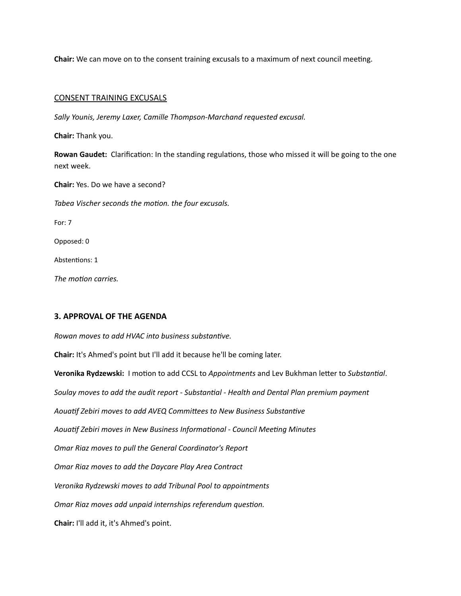**Chair:** We can move on to the consent training excusals to a maximum of next council meeting.

#### **CONSENT TRAINING EXCUSALS**

Sally Younis, Jeremy Laxer, Camille Thompson-Marchand requested excusal.

**Chair:** Thank you. 

**Rowan Gaudet:** Clarification: In the standing regulations, those who missed it will be going to the one next week.

**Chair:** Yes. Do we have a second? Tabea Vischer seconds the motion. the four excusals. For: 7 Opposed: 0 Abstentions: 1 The *motion* carries.

### **3. APPROVAL OF THE AGENDA**

*Rowan moves to add HVAC into business substantive.* 

**Chair:** It's Ahmed's point but I'll add it because he'll be coming later.

**Veronika Rydzewski:** I motion to add CCSL to *Appointments* and Lev Bukhman letter to Substantial. Soulay moves to add the audit report - Substantial - Health and Dental Plan premium payment Aouatif Zebiri moves to add AVEQ Committees to New Business Substantive Aouatif Zebiri moves in New Business Informational - Council Meeting Minutes **Omar Riaz moves to pull the General Coordinator's Report Omar Riaz moves to add the Daycare Play Area Contract** *Veronika Rydzewski moves to add Tribunal Pool to appointments Omar Riaz moves add unpaid internships referendum question.* **Chair:** I'll add it, it's Ahmed's point.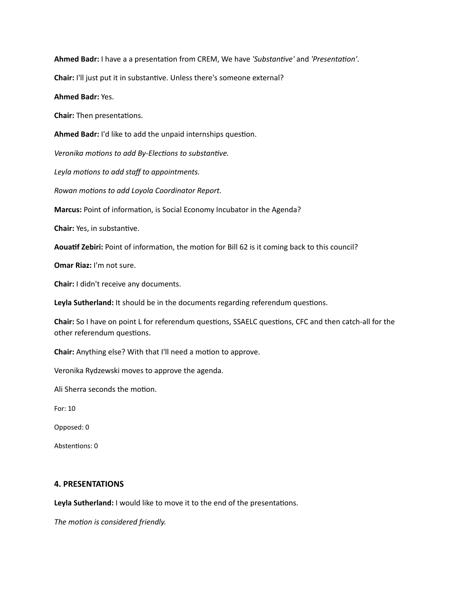Ahmed Badr: I have a a presentation from CREM, We have 'Substantive' and 'Presentation'.

**Chair:** I'll just put it in substantive. Unless there's someone external?

#### **Ahmed Badr: Yes.**

**Chair:** Then presentations.

Ahmed Badr: I'd like to add the unpaid internships question.

*Veronika motions to add By-Elections to substantive.* 

Leyla motions to add staff to appointments.

*Rowan motions to add Loyola Coordinator Report.* 

Marcus: Point of information, is Social Economy Incubator in the Agenda?

**Chair:** Yes, in substantive.

Aouatif Zebiri: Point of information, the motion for Bill 62 is it coming back to this council?

**Omar Riaz:** I'm not sure.

**Chair:** I didn't receive any documents.

Leyla Sutherland: It should be in the documents regarding referendum questions.

**Chair:** So I have on point L for referendum questions, SSAELC questions, CFC and then catch-all for the other referendum questions.

**Chair:** Anything else? With that I'll need a motion to approve.

Veronika Rydzewski moves to approve the agenda.

Ali Sherra seconds the motion.

For: 10 

Opposed: 0

Abstentions: 0

### **4. PRESENTATIONS**

Leyla Sutherland: I would like to move it to the end of the presentations.

The motion is considered friendly.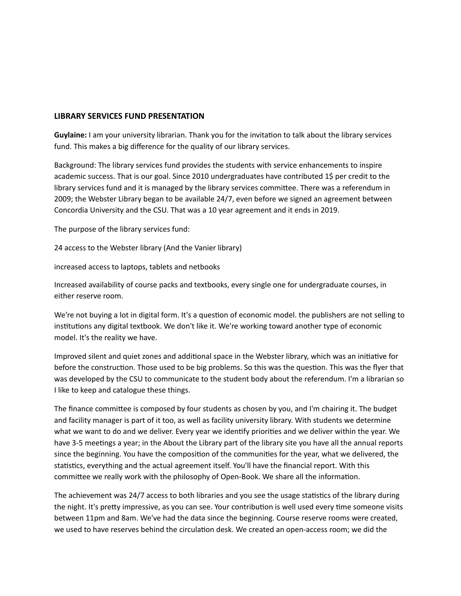### **LIBRARY SERVICES FUND PRESENTATION**

**Guylaine:** I am your university librarian. Thank you for the invitation to talk about the library services fund. This makes a big difference for the quality of our library services.

Background: The library services fund provides the students with service enhancements to inspire academic success. That is our goal. Since 2010 undergraduates have contributed 1\$ per credit to the library services fund and it is managed by the library services committee. There was a referendum in 2009; the Webster Library began to be available 24/7, even before we signed an agreement between Concordia University and the CSU. That was a 10 year agreement and it ends in 2019.

The purpose of the library services fund:

24 access to the Webster library (And the Vanier library)

increased access to laptops, tablets and netbooks

Increased availability of course packs and textbooks, every single one for undergraduate courses, in either reserve room.

We're not buying a lot in digital form. It's a question of economic model. the publishers are not selling to institutions any digital textbook. We don't like it. We're working toward another type of economic model. It's the reality we have.

Improved silent and quiet zones and additional space in the Webster library, which was an initiative for before the construction. Those used to be big problems. So this was the question. This was the flyer that was developed by the CSU to communicate to the student body about the referendum. I'm a librarian so I like to keep and catalogue these things.

The finance committee is composed by four students as chosen by you, and I'm chairing it. The budget and facility manager is part of it too, as well as facility university library. With students we determine what we want to do and we deliver. Every year we identify priorities and we deliver within the year. We have 3-5 meetings a year; in the About the Library part of the library site you have all the annual reports since the beginning. You have the composition of the communities for the year, what we delivered, the statistics, everything and the actual agreement itself. You'll have the financial report. With this committee we really work with the philosophy of Open-Book. We share all the information.

The achievement was 24/7 access to both libraries and you see the usage statistics of the library during the night. It's pretty impressive, as you can see. Your contribution is well used every time someone visits between 11pm and 8am. We've had the data since the beginning. Course reserve rooms were created, we used to have reserves behind the circulation desk. We created an open-access room; we did the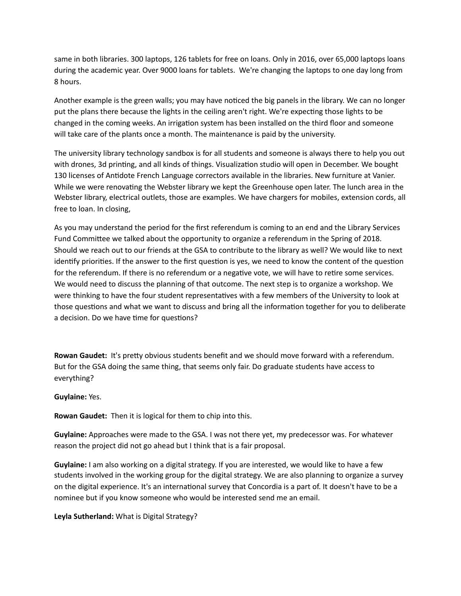same in both libraries. 300 laptops, 126 tablets for free on loans. Only in 2016, over 65,000 laptops loans during the academic year. Over 9000 loans for tablets. We're changing the laptops to one day long from 8 hours. 

Another example is the green walls; you may have noticed the big panels in the library. We can no longer put the plans there because the lights in the ceiling aren't right. We're expecting those lights to be changed in the coming weeks. An irrigation system has been installed on the third floor and someone will take care of the plants once a month. The maintenance is paid by the university.

The university library technology sandbox is for all students and someone is always there to help you out with drones, 3d printing, and all kinds of things. Visualization studio will open in December. We bought 130 licenses of Antidote French Language correctors available in the libraries. New furniture at Vanier. While we were renovating the Webster library we kept the Greenhouse open later. The lunch area in the Webster library, electrical outlets, those are examples. We have chargers for mobiles, extension cords, all free to loan. In closing,

As you may understand the period for the first referendum is coming to an end and the Library Services Fund Committee we talked about the opportunity to organize a referendum in the Spring of 2018. Should we reach out to our friends at the GSA to contribute to the library as well? We would like to next identify priorities. If the answer to the first question is yes, we need to know the content of the question for the referendum. If there is no referendum or a negative vote, we will have to retire some services. We would need to discuss the planning of that outcome. The next step is to organize a workshop. We were thinking to have the four student representatives with a few members of the University to look at those questions and what we want to discuss and bring all the information together for you to deliberate a decision. Do we have time for questions?

**Rowan Gaudet:** It's pretty obvious students benefit and we should move forward with a referendum. But for the GSA doing the same thing, that seems only fair. Do graduate students have access to everything? 

**Guylaine:** Yes. 

**Rowan Gaudet:** Then it is logical for them to chip into this.

**Guylaine:** Approaches were made to the GSA. I was not there yet, my predecessor was. For whatever reason the project did not go ahead but I think that is a fair proposal.

**Guylaine:** I am also working on a digital strategy. If you are interested, we would like to have a few students involved in the working group for the digital strategy. We are also planning to organize a survey on the digital experience. It's an international survey that Concordia is a part of. It doesn't have to be a nominee but if you know someone who would be interested send me an email.

Leyla Sutherland: What is Digital Strategy?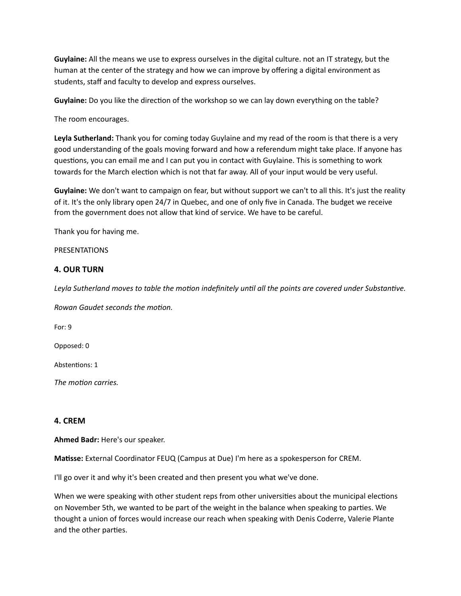**Guylaine:** All the means we use to express ourselves in the digital culture. not an IT strategy, but the human at the center of the strategy and how we can improve by offering a digital environment as students, staff and faculty to develop and express ourselves.

**Guylaine:** Do you like the direction of the workshop so we can lay down everything on the table?

The room encourages.

Leyla Sutherland: Thank you for coming today Guylaine and my read of the room is that there is a very good understanding of the goals moving forward and how a referendum might take place. If anyone has questions, you can email me and I can put you in contact with Guylaine. This is something to work towards for the March election which is not that far away. All of your input would be very useful.

**Guylaine:** We don't want to campaign on fear, but without support we can't to all this. It's just the reality of it. It's the only library open 24/7 in Quebec, and one of only five in Canada. The budget we receive from the government does not allow that kind of service. We have to be careful.

Thank you for having me.

PRESENTATIONS 

### **4. OUR TURN**

Leyla Sutherland moves to table the motion indefinitely until all the points are covered under Substantive.

*Rowan Gaudet seconds the motion.* 

For: 9

Opposed: 0

Abstentions: 1

*The motion carries.* 

### **4. CREM**

Ahmed Badr: Here's our speaker.

**Matisse:** External Coordinator FEUQ (Campus at Due) I'm here as a spokesperson for CREM.

I'll go over it and why it's been created and then present you what we've done.

When we were speaking with other student reps from other universities about the municipal elections on November 5th, we wanted to be part of the weight in the balance when speaking to parties. We thought a union of forces would increase our reach when speaking with Denis Coderre, Valerie Plante and the other parties.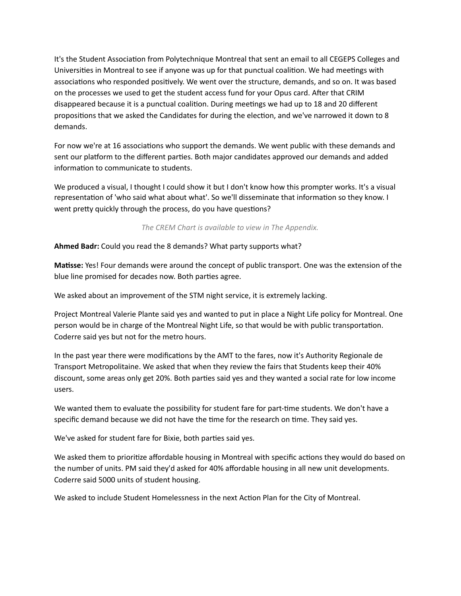It's the Student Association from Polytechnique Montreal that sent an email to all CEGEPS Colleges and Universities in Montreal to see if anyone was up for that punctual coalition. We had meetings with associations who responded positively. We went over the structure, demands, and so on. It was based on the processes we used to get the student access fund for your Opus card. After that CRIM disappeared because it is a punctual coalition. During meetings we had up to 18 and 20 different propositions that we asked the Candidates for during the election, and we've narrowed it down to 8 demands. 

For now we're at 16 associations who support the demands. We went public with these demands and sent our platform to the different parties. Both major candidates approved our demands and added information to communicate to students.

We produced a visual, I thought I could show it but I don't know how this prompter works. It's a visual representation of 'who said what about what'. So we'll disseminate that information so they know. I went pretty quickly through the process, do you have questions?

The CREM Chart is available to view in The Appendix.

**Ahmed Badr:** Could you read the 8 demands? What party supports what?

**Matisse:** Yes! Four demands were around the concept of public transport. One was the extension of the blue line promised for decades now. Both parties agree.

We asked about an improvement of the STM night service, it is extremely lacking.

Project Montreal Valerie Plante said yes and wanted to put in place a Night Life policy for Montreal. One person would be in charge of the Montreal Night Life, so that would be with public transportation. Coderre said yes but not for the metro hours.

In the past year there were modifications by the AMT to the fares, now it's Authority Regionale de Transport Metropolitaine. We asked that when they review the fairs that Students keep their 40% discount, some areas only get 20%. Both parties said yes and they wanted a social rate for low income users. 

We wanted them to evaluate the possibility for student fare for part-time students. We don't have a specific demand because we did not have the time for the research on time. They said yes.

We've asked for student fare for Bixie, both parties said yes.

We asked them to prioritize affordable housing in Montreal with specific actions they would do based on the number of units. PM said they'd asked for 40% affordable housing in all new unit developments. Coderre said 5000 units of student housing.

We asked to include Student Homelessness in the next Action Plan for the City of Montreal.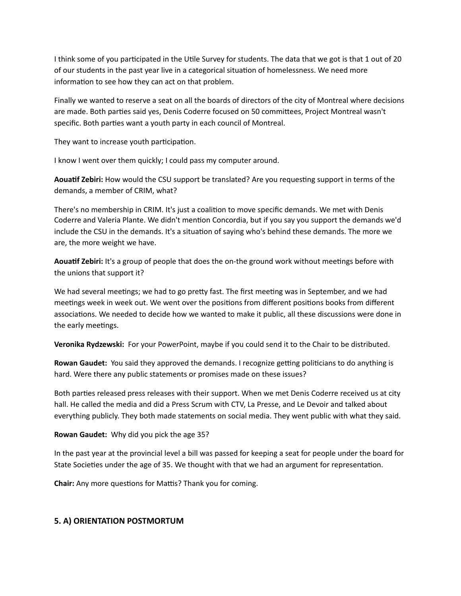I think some of you participated in the Utile Survey for students. The data that we got is that 1 out of 20 of our students in the past year live in a categorical situation of homelessness. We need more information to see how they can act on that problem.

Finally we wanted to reserve a seat on all the boards of directors of the city of Montreal where decisions are made. Both parties said yes, Denis Coderre focused on 50 committees, Project Montreal wasn't specific. Both parties want a youth party in each council of Montreal.

They want to increase youth participation.

I know I went over them quickly; I could pass my computer around.

**Aouatif Zebiri:** How would the CSU support be translated? Are you requesting support in terms of the demands, a member of CRIM, what?

There's no membership in CRIM. It's just a coalition to move specific demands. We met with Denis Coderre and Valeria Plante. We didn't mention Concordia, but if you say you support the demands we'd include the CSU in the demands. It's a situation of saying who's behind these demands. The more we are, the more weight we have.

**Aouatif Zebiri:** It's a group of people that does the on-the ground work without meetings before with the unions that support it?

We had several meetings; we had to go pretty fast. The first meeting was in September, and we had meetings week in week out. We went over the positions from different positions books from different associations. We needed to decide how we wanted to make it public, all these discussions were done in the early meetings.

**Veronika Rydzewski:** For your PowerPoint, maybe if you could send it to the Chair to be distributed.

**Rowan Gaudet:** You said they approved the demands. I recognize getting politicians to do anything is hard. Were there any public statements or promises made on these issues?

Both parties released press releases with their support. When we met Denis Coderre received us at city hall. He called the media and did a Press Scrum with CTV, La Presse, and Le Devoir and talked about everything publicly. They both made statements on social media. They went public with what they said.

**Rowan Gaudet:** Why did you pick the age 35?

In the past year at the provincial level a bill was passed for keeping a seat for people under the board for State Societies under the age of 35. We thought with that we had an argument for representation.

**Chair:** Any more questions for Mattis? Thank you for coming.

# **5. A) ORIENTATION POSTMORTUM**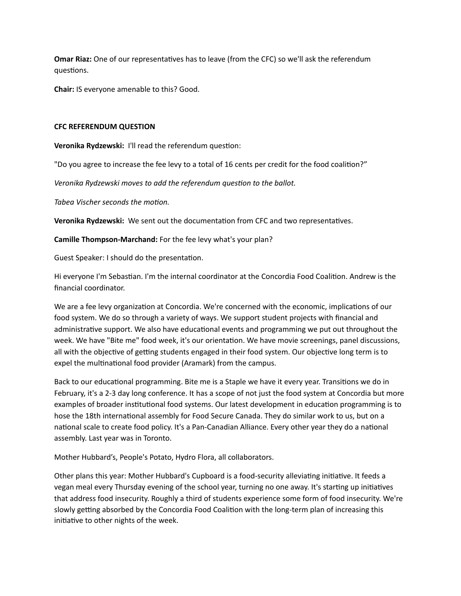**Omar Riaz:** One of our representatives has to leave (from the CFC) so we'll ask the referendum questions.

**Chair:** IS everyone amenable to this? Good.

### **CFC REFERENDUM QUESTION**

**Veronika Rydzewski: I'll read the referendum question:** 

"Do you agree to increase the fee levy to a total of 16 cents per credit for the food coalition?"

*Veronika Rydzewski moves to add the referendum question to the ballot.* 

Tabea Vischer seconds the motion.

**Veronika Rydzewski:** We sent out the documentation from CFC and two representatives.

**Camille Thompson-Marchand:** For the fee levy what's your plan?

Guest Speaker: I should do the presentation.

Hi everyone I'm Sebastian. I'm the internal coordinator at the Concordia Food Coalition. Andrew is the financial coordinator.

We are a fee levy organization at Concordia. We're concerned with the economic, implications of our food system. We do so through a variety of ways. We support student projects with financial and administrative support. We also have educational events and programming we put out throughout the week. We have "Bite me" food week, it's our orientation. We have movie screenings, panel discussions, all with the objective of getting students engaged in their food system. Our objective long term is to expel the multinational food provider (Aramark) from the campus.

Back to our educational programming. Bite me is a Staple we have it every year. Transitions we do in February, it's a 2-3 day long conference. It has a scope of not just the food system at Concordia but more examples of broader institutional food systems. Our latest development in education programming is to hose the 18th international assembly for Food Secure Canada. They do similar work to us, but on a national scale to create food policy. It's a Pan-Canadian Alliance. Every other year they do a national assembly. Last year was in Toronto.

Mother Hubbard's, People's Potato, Hydro Flora, all collaborators.

Other plans this year: Mother Hubbard's Cupboard is a food-security alleviating initiative. It feeds a vegan meal every Thursday evening of the school year, turning no one away. It's starting up initiatives that address food insecurity. Roughly a third of students experience some form of food insecurity. We're slowly getting absorbed by the Concordia Food Coalition with the long-term plan of increasing this initiative to other nights of the week.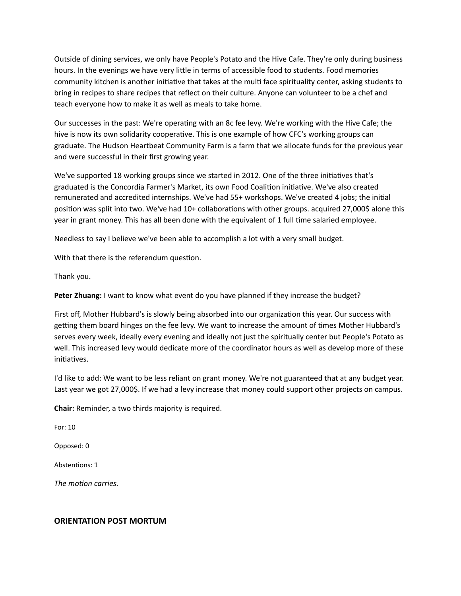Outside of dining services, we only have People's Potato and the Hive Cafe. They're only during business hours. In the evenings we have very little in terms of accessible food to students. Food memories community kitchen is another initiative that takes at the multi face spirituality center, asking students to bring in recipes to share recipes that reflect on their culture. Anyone can volunteer to be a chef and teach everyone how to make it as well as meals to take home.

Our successes in the past: We're operating with an 8c fee levy. We're working with the Hive Cafe; the hive is now its own solidarity cooperative. This is one example of how CFC's working groups can graduate. The Hudson Heartbeat Community Farm is a farm that we allocate funds for the previous year and were successful in their first growing year.

We've supported 18 working groups since we started in 2012. One of the three initiatives that's graduated is the Concordia Farmer's Market, its own Food Coalition initiative. We've also created remunerated and accredited internships. We've had 55+ workshops. We've created 4 jobs; the initial position was split into two. We've had 10+ collaborations with other groups. acquired 27,000\$ alone this year in grant money. This has all been done with the equivalent of 1 full time salaried employee.

Needless to say I believe we've been able to accomplish a lot with a very small budget.

With that there is the referendum question.

Thank you.

**Peter Zhuang:** I want to know what event do you have planned if they increase the budget?

First off, Mother Hubbard's is slowly being absorbed into our organization this year. Our success with getting them board hinges on the fee levy. We want to increase the amount of times Mother Hubbard's serves every week, ideally every evening and ideally not just the spiritually center but People's Potato as well. This increased levy would dedicate more of the coordinator hours as well as develop more of these initiatives.

I'd like to add: We want to be less reliant on grant money. We're not guaranteed that at any budget year. Last year we got 27,000\$. If we had a levy increase that money could support other projects on campus.

**Chair:** Reminder, a two thirds majority is required.

For: 10 

Opposed: 0 

Abstentions: 1

The *motion* carries.

### **ORIENTATION POST MORTUM**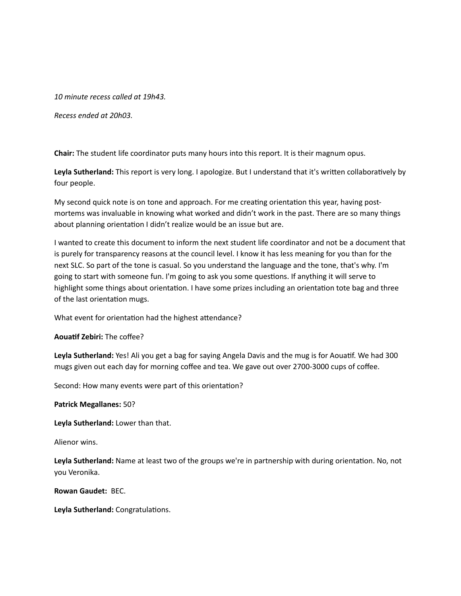10 minute recess called at 19h43.

*Recess ended at 20h03.* 

**Chair:** The student life coordinator puts many hours into this report. It is their magnum opus.

Leyla Sutherland: This report is very long. I apologize. But I understand that it's written collaboratively by four people.

My second quick note is on tone and approach. For me creating orientation this year, having postmortems was invaluable in knowing what worked and didn't work in the past. There are so many things about planning orientation I didn't realize would be an issue but are.

I wanted to create this document to inform the next student life coordinator and not be a document that is purely for transparency reasons at the council level. I know it has less meaning for you than for the next SLC. So part of the tone is casual. So you understand the language and the tone, that's why. I'm going to start with someone fun. I'm going to ask you some questions. If anything it will serve to highlight some things about orientation. I have some prizes including an orientation tote bag and three of the last orientation mugs.

What event for orientation had the highest attendance?

**Aouatif Zebiri:** The coffee?

Leyla Sutherland: Yes! Ali you get a bag for saying Angela Davis and the mug is for Aouatif. We had 300 mugs given out each day for morning coffee and tea. We gave out over 2700-3000 cups of coffee.

Second: How many events were part of this orientation?

**Patrick Megallanes: 50?** 

Leyla Sutherland: Lower than that.

Alienor wins.

Leyla Sutherland: Name at least two of the groups we're in partnership with during orientation. No, not you Veronika. 

**Rowan Gaudet: BEC.** 

Leyla Sutherland: Congratulations.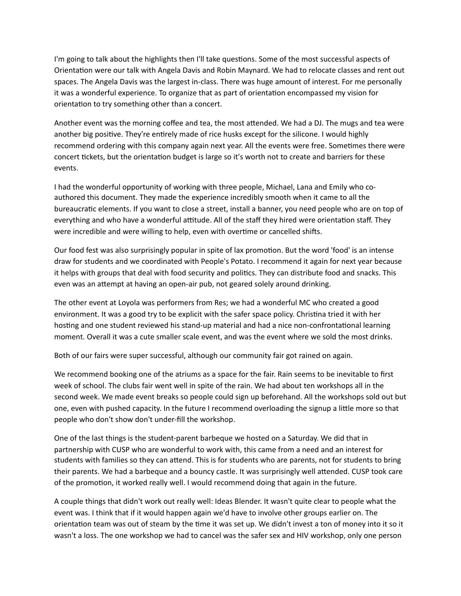I'm going to talk about the highlights then I'll take questions. Some of the most successful aspects of Orientation were our talk with Angela Davis and Robin Maynard. We had to relocate classes and rent out spaces. The Angela Davis was the largest in-class. There was huge amount of interest. For me personally it was a wonderful experience. To organize that as part of orientation encompassed my vision for orientation to try something other than a concert.

Another event was the morning coffee and tea, the most attended. We had a DJ. The mugs and tea were another big positive. They're entirely made of rice husks except for the silicone. I would highly recommend ordering with this company again next year. All the events were free. Sometimes there were concert tickets, but the orientation budget is large so it's worth not to create and barriers for these events. 

I had the wonderful opportunity of working with three people, Michael, Lana and Emily who coauthored this document. They made the experience incredibly smooth when it came to all the bureaucratic elements. If you want to close a street, install a banner, you need people who are on top of everything and who have a wonderful attitude. All of the staff they hired were orientation staff. They were incredible and were willing to help, even with overtime or cancelled shifts.

Our food fest was also surprisingly popular in spite of lax promotion. But the word 'food' is an intense draw for students and we coordinated with People's Potato. I recommend it again for next year because it helps with groups that deal with food security and politics. They can distribute food and snacks. This even was an attempt at having an open-air pub, not geared solely around drinking.

The other event at Loyola was performers from Res; we had a wonderful MC who created a good environment. It was a good try to be explicit with the safer space policy. Christina tried it with her hosting and one student reviewed his stand-up material and had a nice non-confrontational learning moment. Overall it was a cute smaller scale event, and was the event where we sold the most drinks.

Both of our fairs were super successful, although our community fair got rained on again.

We recommend booking one of the atriums as a space for the fair. Rain seems to be inevitable to first week of school. The clubs fair went well in spite of the rain. We had about ten workshops all in the second week. We made event breaks so people could sign up beforehand. All the workshops sold out but one, even with pushed capacity. In the future I recommend overloading the signup a little more so that people who don't show don't under-fill the workshop.

One of the last things is the student-parent barbeque we hosted on a Saturday. We did that in partnership with CUSP who are wonderful to work with, this came from a need and an interest for students with families so they can attend. This is for students who are parents, not for students to bring their parents. We had a barbeque and a bouncy castle. It was surprisingly well attended. CUSP took care of the promotion, it worked really well. I would recommend doing that again in the future.

A couple things that didn't work out really well: Ideas Blender. It wasn't quite clear to people what the event was. I think that if it would happen again we'd have to involve other groups earlier on. The orientation team was out of steam by the time it was set up. We didn't invest a ton of money into it so it wasn't a loss. The one workshop we had to cancel was the safer sex and HIV workshop, only one person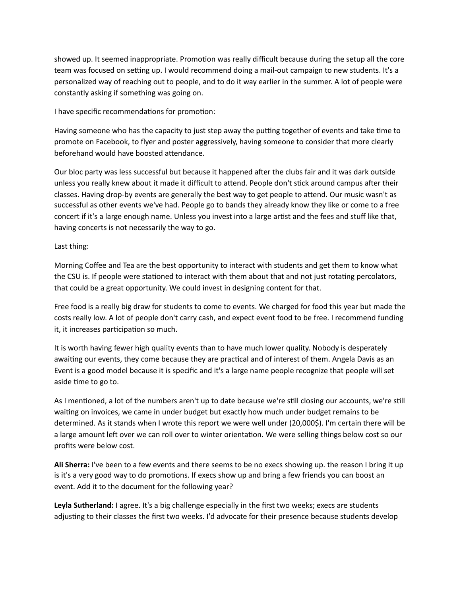showed up. It seemed inappropriate. Promotion was really difficult because during the setup all the core team was focused on setting up. I would recommend doing a mail-out campaign to new students. It's a personalized way of reaching out to people, and to do it way earlier in the summer. A lot of people were constantly asking if something was going on.

I have specific recommendations for promotion:

Having someone who has the capacity to just step away the putting together of events and take time to promote on Facebook, to flyer and poster aggressively, having someone to consider that more clearly beforehand would have boosted attendance.

Our bloc party was less successful but because it happened after the clubs fair and it was dark outside unless you really knew about it made it difficult to attend. People don't stick around campus after their classes. Having drop-by events are generally the best way to get people to attend. Our music wasn't as successful as other events we've had. People go to bands they already know they like or come to a free concert if it's a large enough name. Unless you invest into a large artist and the fees and stuff like that, having concerts is not necessarily the way to go.

## Last thing:

Morning Coffee and Tea are the best opportunity to interact with students and get them to know what the CSU is. If people were stationed to interact with them about that and not just rotating percolators, that could be a great opportunity. We could invest in designing content for that.

Free food is a really big draw for students to come to events. We charged for food this year but made the costs really low. A lot of people don't carry cash, and expect event food to be free. I recommend funding it, it increases participation so much.

It is worth having fewer high quality events than to have much lower quality. Nobody is desperately awaiting our events, they come because they are practical and of interest of them. Angela Davis as an Event is a good model because it is specific and it's a large name people recognize that people will set aside time to go to.

As I mentioned, a lot of the numbers aren't up to date because we're still closing our accounts, we're still waiting on invoices, we came in under budget but exactly how much under budget remains to be determined. As it stands when I wrote this report we were well under (20,000\$). I'm certain there will be a large amount left over we can roll over to winter orientation. We were selling things below cost so our profits were below cost.

**Ali Sherra:** I've been to a few events and there seems to be no execs showing up. the reason I bring it up is it's a very good way to do promotions. If execs show up and bring a few friends you can boost an event. Add it to the document for the following year?

Leyla Sutherland: I agree. It's a big challenge especially in the first two weeks; execs are students adjusting to their classes the first two weeks. I'd advocate for their presence because students develop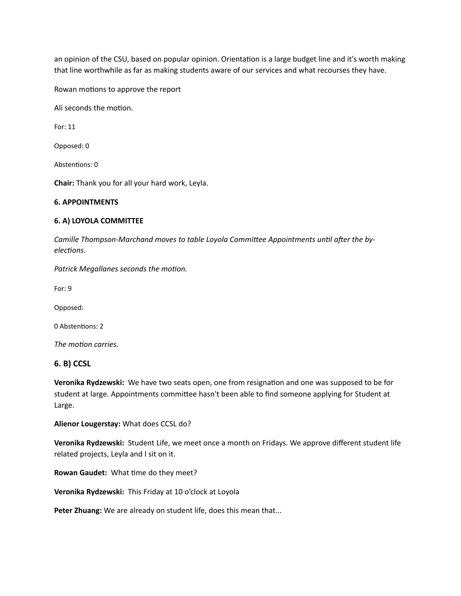an opinion of the CSU, based on popular opinion. Orientation is a large budget line and it's worth making that line worthwhile as far as making students aware of our services and what recourses they have.

Rowan motions to approve the report

Ali seconds the motion.

For: 11 

Opposed: 0

Abstentions: 0

**Chair:** Thank you for all your hard work, Leyla.

#### **6. APPOINTMENTS**

#### **6. A) LOYOLA COMMITTEE**

Camille Thompson-Marchand moves to table Loyola Committee Appointments until after the by $elections.$ 

**Patrick Megallanes seconds the motion.** 

For: 9

Opposed: 

0 Abstentions: 2

The *motion* carries.

### **6. B) CCSL**

**Veronika Rydzewski:** We have two seats open, one from resignation and one was supposed to be for student at large. Appointments committee hasn't been able to find someone applying for Student at Large. 

**Alienor Lougerstay:** What does CCSL do?

**Veronika Rydzewski:** Student Life, we meet once a month on Fridays. We approve different student life related projects, Leyla and I sit on it.

**Rowan Gaudet:** What time do they meet?

**Veronika Rydzewski:** This Friday at 10 o'clock at Loyola

Peter Zhuang: We are already on student life, does this mean that...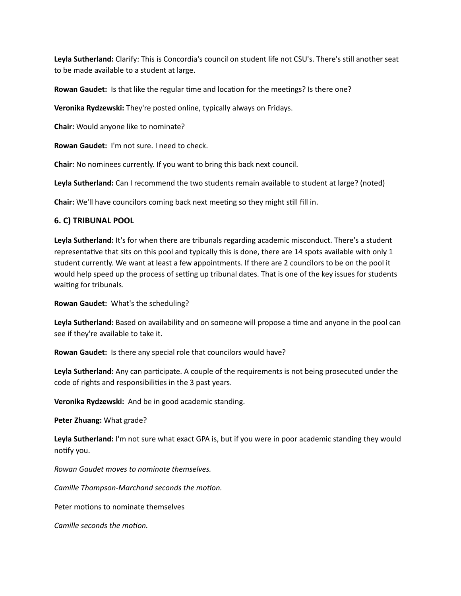Leyla Sutherland: Clarify: This is Concordia's council on student life not CSU's. There's still another seat to be made available to a student at large.

**Rowan Gaudet:** Is that like the regular time and location for the meetings? Is there one?

**Veronika Rydzewski:** They're posted online, typically always on Fridays.

**Chair:** Would anyone like to nominate?

**Rowan Gaudet:** I'm not sure. I need to check.

**Chair:** No nominees currently. If you want to bring this back next council.

Leyla Sutherland: Can I recommend the two students remain available to student at large? (noted)

**Chair:** We'll have councilors coming back next meeting so they might still fill in.

## **6. C) TRIBUNAL POOL**

Leyla Sutherland: It's for when there are tribunals regarding academic misconduct. There's a student representative that sits on this pool and typically this is done, there are 14 spots available with only 1 student currently. We want at least a few appointments. If there are 2 councilors to be on the pool it would help speed up the process of setting up tribunal dates. That is one of the key issues for students waiting for tribunals.

**Rowan Gaudet:** What's the scheduling?

Leyla Sutherland: Based on availability and on someone will propose a time and anyone in the pool can see if they're available to take it.

**Rowan Gaudet:** Is there any special role that councilors would have?

Leyla Sutherland: Any can participate. A couple of the requirements is not being prosecuted under the code of rights and responsibilities in the 3 past years.

**Veronika Rydzewski:** And be in good academic standing.

**Peter Zhuang:** What grade?

Leyla Sutherland: I'm not sure what exact GPA is, but if you were in poor academic standing they would notify you.

*Rowan Gaudet moves to nominate themselves.* 

*Camille Thompson-Marchand seconds the motion.* 

Peter motions to nominate themselves

*Camille seconds the motion.*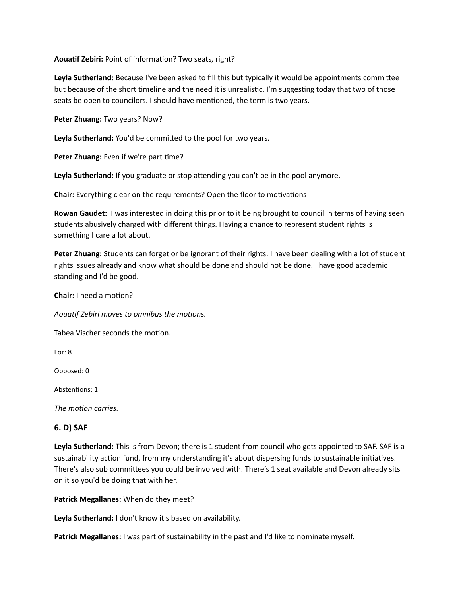**Aouatif Zebiri:** Point of information? Two seats, right?

Leyla Sutherland: Because I've been asked to fill this but typically it would be appointments committee but because of the short timeline and the need it is unrealistic. I'm suggesting today that two of those seats be open to councilors. I should have mentioned, the term is two years.

Peter Zhuang: Two years? Now?

Leyla Sutherland: You'd be committed to the pool for two years.

Peter Zhuang: Even if we're part time?

Leyla Sutherland: If you graduate or stop attending you can't be in the pool anymore.

**Chair:** Everything clear on the requirements? Open the floor to motivations

**Rowan Gaudet:** I was interested in doing this prior to it being brought to council in terms of having seen students abusively charged with different things. Having a chance to represent student rights is something I care a lot about.

**Peter Zhuang:** Students can forget or be ignorant of their rights. I have been dealing with a lot of student rights issues already and know what should be done and should not be done. I have good academic standing and I'd be good.

**Chair:** I need a motion?

Aouatif Zebiri moves to omnibus the motions.

Tabea Vischer seconds the motion.

For: 8

Opposed: 0

Abstentions: 1

The *motion* carries.

### **6. D) SAF**

Leyla Sutherland: This is from Devon; there is 1 student from council who gets appointed to SAF. SAF is a sustainability action fund, from my understanding it's about dispersing funds to sustainable initiatives. There's also sub committees you could be involved with. There's 1 seat available and Devon already sits on it so you'd be doing that with her.

**Patrick Megallanes:** When do they meet?

**Leyla Sutherland:** I don't know it's based on availability.

**Patrick Megallanes:** I was part of sustainability in the past and I'd like to nominate myself.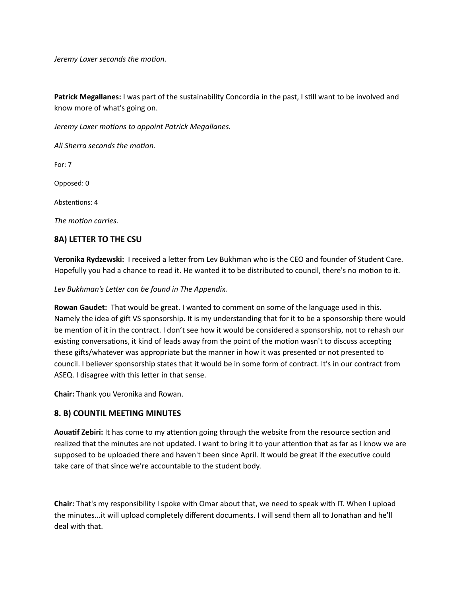*Jeremy Laxer seconds the motion.* 

**Patrick Megallanes:** I was part of the sustainability Concordia in the past, I still want to be involved and know more of what's going on.

*Jeremy Laxer motions to appoint Patrick Megallanes.* 

Ali Sherra seconds the motion.

For: 7

Opposed: 0

Abstentions: 4

The *motion* carries.

## **8A) LETTER TO THE CSU**

Veronika Rydzewski: I received a letter from Lev Bukhman who is the CEO and founder of Student Care. Hopefully you had a chance to read it. He wanted it to be distributed to council, there's no motion to it.

Lev Bukhman's Letter can be found in The Appendix.

**Rowan Gaudet:** That would be great. I wanted to comment on some of the language used in this. Namely the idea of gift VS sponsorship. It is my understanding that for it to be a sponsorship there would be mention of it in the contract. I don't see how it would be considered a sponsorship, not to rehash our existing conversations, it kind of leads away from the point of the motion wasn't to discuss accepting these gifts/whatever was appropriate but the manner in how it was presented or not presented to council. I believer sponsorship states that it would be in some form of contract. It's in our contract from ASEQ. I disagree with this letter in that sense.

**Chair:** Thank you Veronika and Rowan.

### **8. B) COUNTIL MEETING MINUTES**

Aouatif Zebiri: It has come to my attention going through the website from the resource section and realized that the minutes are not updated. I want to bring it to your attention that as far as I know we are supposed to be uploaded there and haven't been since April. It would be great if the executive could take care of that since we're accountable to the student body.

**Chair:** That's my responsibility I spoke with Omar about that, we need to speak with IT. When I upload the minutes...it will upload completely different documents. I will send them all to Jonathan and he'll deal with that.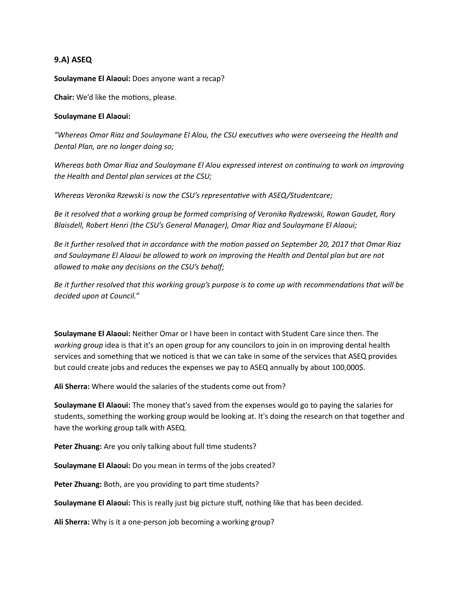## **9.A) ASEQ**

**Soulaymane El Alaoui:** Does anyone want a recap?

**Chair:** We'd like the motions, please.

#### **Soulaymane El Alaoui:**

*"Whereas Omar Riaz and Soulaymane El Alou, the CSU execu#ves who were overseeing the Health and*  Dental Plan, are no longer doing so;

*Whereas both Omar Riaz and Soulaymane El Alou expressed interest on continuing to work on improving* the Health and Dental plan services at the CSU;

*Whereas Veronika Rzewski is now the CSU's representative with ASEQ/Studentcare;* 

Be it resolved that a working group be formed comprising of Veronika Rydzewski, Rowan Gaudet, Rory Blaisdell, Robert Henri (the CSU's General Manager), Omar Riaz and Soulaymane El Alaoui;

Be it further resolved that in accordance with the motion passed on September 20, 2017 that Omar Riaz and Soulaymane El Alaoui be allowed to work on improving the Health and Dental plan but are not *allowed to make any decisions on the CSU's behalf;* 

Be it further resolved that this working group's purpose is to come up with recommendations that will be *decided upon at Council."* 

**Soulaymane El Alaoui:** Neither Omar or I have been in contact with Student Care since then. The *working group* idea is that it's an open group for any councilors to join in on improving dental health services and something that we noticed is that we can take in some of the services that ASEQ provides but could create jobs and reduces the expenses we pay to ASEQ annually by about 100,000\$.

**Ali Sherra:** Where would the salaries of the students come out from?

**Soulaymane El Alaoui:** The money that's saved from the expenses would go to paying the salaries for students, something the working group would be looking at. It's doing the research on that together and have the working group talk with ASEQ.

**Peter Zhuang:** Are you only talking about full time students?

**Soulaymane El Alaoui:** Do you mean in terms of the jobs created?

**Peter Zhuang:** Both, are you providing to part time students?

**Soulaymane El Alaoui:** This is really just big picture stuff, nothing like that has been decided.

**Ali Sherra:** Why is it a one-person job becoming a working group?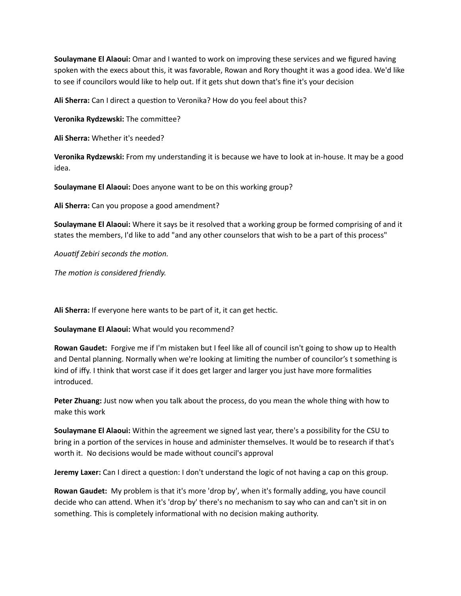**Soulaymane El Alaoui:** Omar and I wanted to work on improving these services and we figured having spoken with the execs about this, it was favorable, Rowan and Rory thought it was a good idea. We'd like to see if councilors would like to help out. If it gets shut down that's fine it's your decision

**Ali Sherra:** Can I direct a question to Veronika? How do you feel about this?

**Veronika Rydzewski:** The committee?

**Ali Sherra:** Whether it's needed?

**Veronika Rydzewski:** From my understanding it is because we have to look at in-house. It may be a good idea. 

**Soulaymane El Alaoui:** Does anyone want to be on this working group?

Ali Sherra: Can you propose a good amendment?

**Soulaymane El Alaoui:** Where it says be it resolved that a working group be formed comprising of and it states the members, I'd like to add "and any other counselors that wish to be a part of this process"

Aouatif Zebiri seconds the motion.

The motion is considered friendly.

Ali Sherra: If everyone here wants to be part of it, it can get hectic.

**Soulaymane El Alaoui:** What would you recommend?

**Rowan Gaudet:** Forgive me if I'm mistaken but I feel like all of council isn't going to show up to Health and Dental planning. Normally when we're looking at limiting the number of councilor's t something is kind of iffy. I think that worst case if it does get larger and larger you just have more formalities introduced. 

**Peter Zhuang:** Just now when you talk about the process, do you mean the whole thing with how to make this work

**Soulaymane El Alaoui:** Within the agreement we signed last year, there's a possibility for the CSU to bring in a portion of the services in house and administer themselves. It would be to research if that's worth it. No decisions would be made without council's approval

**Jeremy Laxer:** Can I direct a question: I don't understand the logic of not having a cap on this group.

**Rowan Gaudet:** My problem is that it's more 'drop by', when it's formally adding, you have council decide who can attend. When it's 'drop by' there's no mechanism to say who can and can't sit in on something. This is completely informational with no decision making authority.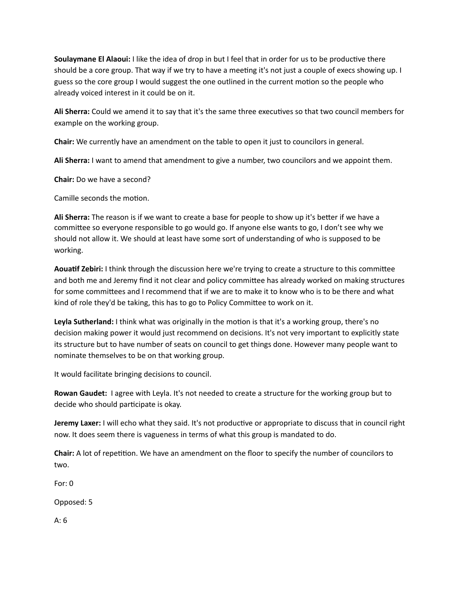**Soulaymane El Alaoui:** I like the idea of drop in but I feel that in order for us to be productive there should be a core group. That way if we try to have a meeting it's not just a couple of execs showing up. I guess so the core group I would suggest the one outlined in the current motion so the people who already voiced interest in it could be on it.

Ali Sherra: Could we amend it to say that it's the same three executives so that two council members for example on the working group.

Chair: We currently have an amendment on the table to open it just to councilors in general.

Ali Sherra: I want to amend that amendment to give a number, two councilors and we appoint them.

**Chair:** Do we have a second?

Camille seconds the motion.

**Ali Sherra:** The reason is if we want to create a base for people to show up it's better if we have a committee so everyone responsible to go would go. If anyone else wants to go, I don't see why we should not allow it. We should at least have some sort of understanding of who is supposed to be working. 

Aouatif Zebiri: I think through the discussion here we're trying to create a structure to this committee and both me and Jeremy find it not clear and policy committee has already worked on making structures for some committees and I recommend that if we are to make it to know who is to be there and what kind of role they'd be taking, this has to go to Policy Committee to work on it.

Leyla Sutherland: I think what was originally in the motion is that it's a working group, there's no decision making power it would just recommend on decisions. It's not very important to explicitly state its structure but to have number of seats on council to get things done. However many people want to nominate themselves to be on that working group.

It would facilitate bringing decisions to council.

**Rowan Gaudet:** I agree with Leyla. It's not needed to create a structure for the working group but to decide who should participate is okay.

**Jeremy Laxer:** I will echo what they said. It's not productive or appropriate to discuss that in council right now. It does seem there is vagueness in terms of what this group is mandated to do.

**Chair:** A lot of repetition. We have an amendment on the floor to specify the number of councilors to two. 

For:  $0$ 

Opposed: 5

 $A: 6$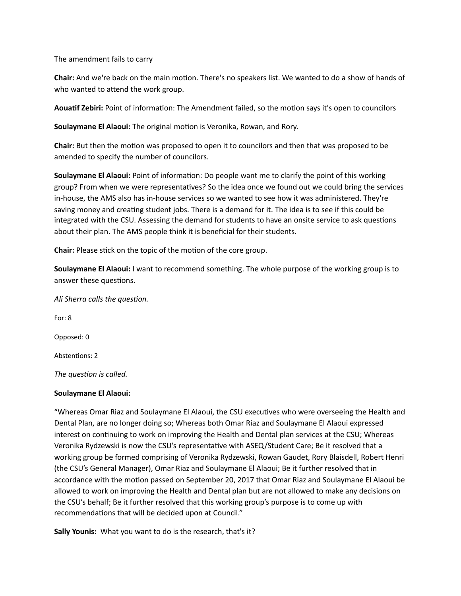The amendment fails to carry

**Chair:** And we're back on the main motion. There's no speakers list. We wanted to do a show of hands of who wanted to attend the work group.

Aouatif Zebiri: Point of information: The Amendment failed, so the motion says it's open to councilors

**Soulaymane El Alaoui:** The original motion is Veronika, Rowan, and Rory.

**Chair:** But then the motion was proposed to open it to councilors and then that was proposed to be amended to specify the number of councilors.

**Soulaymane El Alaoui:** Point of information: Do people want me to clarify the point of this working group? From when we were representatives? So the idea once we found out we could bring the services in-house, the AMS also has in-house services so we wanted to see how it was administered. They're saving money and creating student jobs. There is a demand for it. The idea is to see if this could be integrated with the CSU. Assessing the demand for students to have an onsite service to ask questions about their plan. The AMS people think it is beneficial for their students.

**Chair:** Please stick on the topic of the motion of the core group.

**Soulaymane El Alaoui:** I want to recommend something. The whole purpose of the working group is to answer these questions.

Ali Sherra calls the question.

For: 8 Opposed: 0

Abstentions: 2

The question is called.

### **Soulaymane El Alaoui:**

"Whereas Omar Riaz and Soulaymane El Alaoui, the CSU executives who were overseeing the Health and Dental Plan, are no longer doing so; Whereas both Omar Riaz and Soulaymane El Alaoui expressed interest on continuing to work on improving the Health and Dental plan services at the CSU; Whereas Veronika Rydzewski is now the CSU's representative with ASEQ/Student Care; Be it resolved that a working group be formed comprising of Veronika Rydzewski, Rowan Gaudet, Rory Blaisdell, Robert Henri (the CSU's General Manager), Omar Riaz and Soulaymane El Alaoui; Be it further resolved that in accordance with the motion passed on September 20, 2017 that Omar Riaz and Soulaymane El Alaoui be allowed to work on improving the Health and Dental plan but are not allowed to make any decisions on the CSU's behalf; Be it further resolved that this working group's purpose is to come up with recommendations that will be decided upon at Council."

**Sally Younis:** What you want to do is the research, that's it?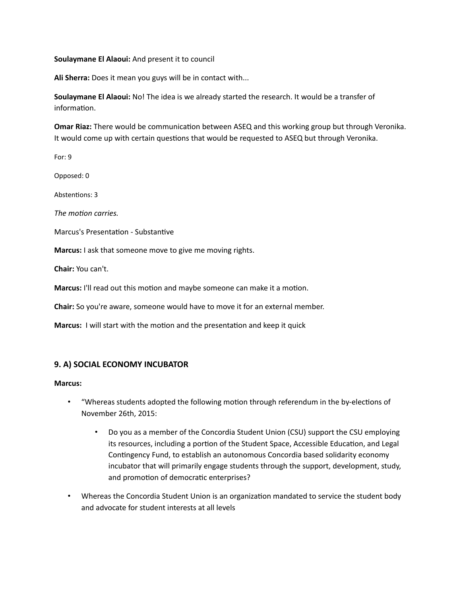#### **Soulaymane El Alaoui:** And present it to council

Ali Sherra: Does it mean you guys will be in contact with...

**Soulaymane El Alaoui:** No! The idea is we already started the research. It would be a transfer of information.

**Omar Riaz:** There would be communication between ASEQ and this working group but through Veronika. It would come up with certain questions that would be requested to ASEQ but through Veronika.

For: 9

Opposed: 0 

Abstentions: 3

*The motion carries.* 

Marcus's Presentation - Substantive

**Marcus:** I ask that someone move to give me moving rights.

**Chair:** You can't. 

**Marcus:** I'll read out this motion and maybe someone can make it a motion.

**Chair:** So you're aware, someone would have to move it for an external member.

**Marcus:** I will start with the motion and the presentation and keep it quick

### **9. A) SOCIAL ECONOMY INCUBATOR**

**Marcus:** 

- "Whereas students adopted the following motion through referendum in the by-elections of November 26th, 2015:
	- Do you as a member of the Concordia Student Union (CSU) support the CSU employing its resources, including a portion of the Student Space, Accessible Education, and Legal Contingency Fund, to establish an autonomous Concordia based solidarity economy incubator that will primarily engage students through the support, development, study, and promotion of democratic enterprises?
- Whereas the Concordia Student Union is an organization mandated to service the student body and advocate for student interests at all levels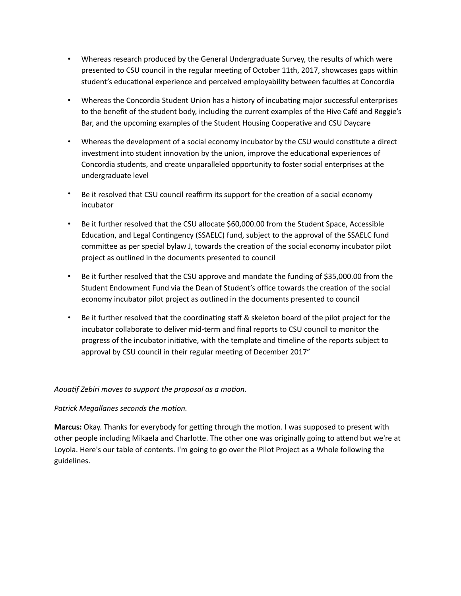- Whereas research produced by the General Undergraduate Survey, the results of which were presented to CSU council in the regular meeting of October 11th, 2017, showcases gaps within student's educational experience and perceived employability between faculties at Concordia
- Whereas the Concordia Student Union has a history of incubating major successful enterprises to the benefit of the student body, including the current examples of the Hive Café and Reggie's Bar, and the upcoming examples of the Student Housing Cooperative and CSU Daycare
- Whereas the development of a social economy incubator by the CSU would constitute a direct investment into student innovation by the union, improve the educational experiences of Concordia students, and create unparalleled opportunity to foster social enterprises at the undergraduate level
- Be it resolved that CSU council reaffirm its support for the creation of a social economy incubator
- Be it further resolved that the CSU allocate \$60,000.00 from the Student Space, Accessible Education, and Legal Contingency (SSAELC) fund, subject to the approval of the SSAELC fund committee as per special bylaw J, towards the creation of the social economy incubator pilot project as outlined in the documents presented to council
- Be it further resolved that the CSU approve and mandate the funding of \$35,000.00 from the Student Endowment Fund via the Dean of Student's office towards the creation of the social economy incubator pilot project as outlined in the documents presented to council
- Be it further resolved that the coordinating staff & skeleton board of the pilot project for the incubator collaborate to deliver mid-term and final reports to CSU council to monitor the progress of the incubator initiative, with the template and timeline of the reports subject to approval by CSU council in their regular meeting of December 2017"

## Aouatif Zebiri moves to support the proposal as a motion.

## **Patrick Megallanes seconds the motion.**

**Marcus:** Okay. Thanks for everybody for getting through the motion. I was supposed to present with other people including Mikaela and Charlotte. The other one was originally going to attend but we're at Loyola. Here's our table of contents. I'm going to go over the Pilot Project as a Whole following the guidelines.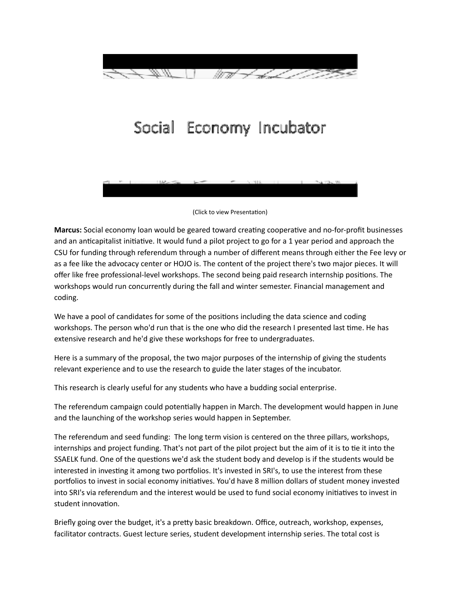

# Social Economy Incubator

(Click to view Presentation)

**Marcus:** Social economy loan would be geared toward creating cooperative and no-for-profit businesses and an anticapitalist initiative. It would fund a pilot project to go for a 1 year period and approach the CSU for funding through referendum through a number of different means through either the Fee levy or as a fee like the advocacy center or HOJO is. The content of the project there's two major pieces. It will offer like free professional-level workshops. The second being paid research internship positions. The workshops would run concurrently during the fall and winter semester. Financial management and coding. 

We have a pool of candidates for some of the positions including the data science and coding workshops. The person who'd run that is the one who did the research I presented last time. He has extensive research and he'd give these workshops for free to undergraduates.

Here is a summary of the proposal, the two major purposes of the internship of giving the students relevant experience and to use the research to guide the later stages of the incubator.

This research is clearly useful for any students who have a budding social enterprise.

The referendum campaign could potentially happen in March. The development would happen in June and the launching of the workshop series would happen in September.

The referendum and seed funding: The long term vision is centered on the three pillars, workshops, internships and project funding. That's not part of the pilot project but the aim of it is to tie it into the SSAELK fund. One of the questions we'd ask the student body and develop is if the students would be interested in investing it among two portfolios. It's invested in SRI's, to use the interest from these portfolios to invest in social economy initiatives. You'd have 8 million dollars of student money invested into SRI's via referendum and the interest would be used to fund social economy initiatives to invest in student innovation.

Briefly going over the budget, it's a pretty basic breakdown. Office, outreach, workshop, expenses, facilitator contracts. Guest lecture series, student development internship series. The total cost is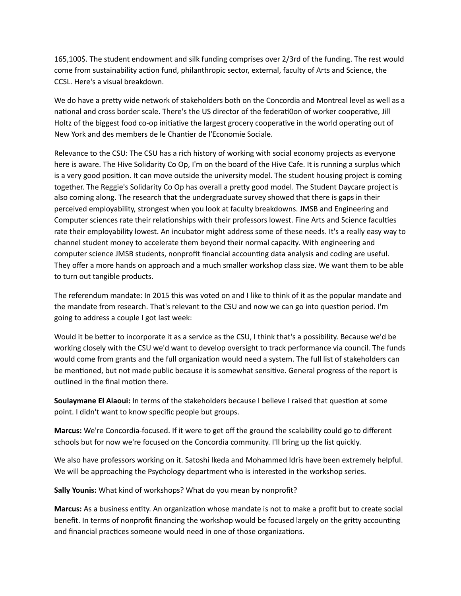165,100\$. The student endowment and silk funding comprises over 2/3rd of the funding. The rest would come from sustainability action fund, philanthropic sector, external, faculty of Arts and Science, the CCSL. Here's a visual breakdown.

We do have a pretty wide network of stakeholders both on the Concordia and Montreal level as well as a national and cross border scale. There's the US director of the federati0on of worker cooperative, Jill Holtz of the biggest food co-op initiative the largest grocery cooperative in the world operating out of New York and des members de le Chantier de l'Economie Sociale.

Relevance to the CSU: The CSU has a rich history of working with social economy projects as everyone here is aware. The Hive Solidarity Co Op, I'm on the board of the Hive Cafe. It is running a surplus which is a very good position. It can move outside the university model. The student housing project is coming together. The Reggie's Solidarity Co Op has overall a pretty good model. The Student Daycare project is also coming along. The research that the undergraduate survey showed that there is gaps in their perceived employability, strongest when you look at faculty breakdowns. JMSB and Engineering and Computer sciences rate their relationships with their professors lowest. Fine Arts and Science faculties rate their employability lowest. An incubator might address some of these needs. It's a really easy way to channel student money to accelerate them beyond their normal capacity. With engineering and computer science JMSB students, nonprofit financial accounting data analysis and coding are useful. They offer a more hands on approach and a much smaller workshop class size. We want them to be able to turn out tangible products.

The referendum mandate: In 2015 this was voted on and I like to think of it as the popular mandate and the mandate from research. That's relevant to the CSU and now we can go into question period. I'm going to address a couple I got last week:

Would it be better to incorporate it as a service as the CSU, I think that's a possibility. Because we'd be working closely with the CSU we'd want to develop oversight to track performance via council. The funds would come from grants and the full organization would need a system. The full list of stakeholders can be mentioned, but not made public because it is somewhat sensitive. General progress of the report is outlined in the final motion there.

**Soulaymane El Alaoui:** In terms of the stakeholders because I believe I raised that question at some point. I didn't want to know specific people but groups.

**Marcus:** We're Concordia-focused. If it were to get off the ground the scalability could go to different schools but for now we're focused on the Concordia community. I'll bring up the list quickly.

We also have professors working on it. Satoshi Ikeda and Mohammed Idris have been extremely helpful. We will be approaching the Psychology department who is interested in the workshop series.

**Sally Younis:** What kind of workshops? What do you mean by nonprofit?

Marcus: As a business entity. An organization whose mandate is not to make a profit but to create social benefit. In terms of nonprofit financing the workshop would be focused largely on the gritty accounting and financial practices someone would need in one of those organizations.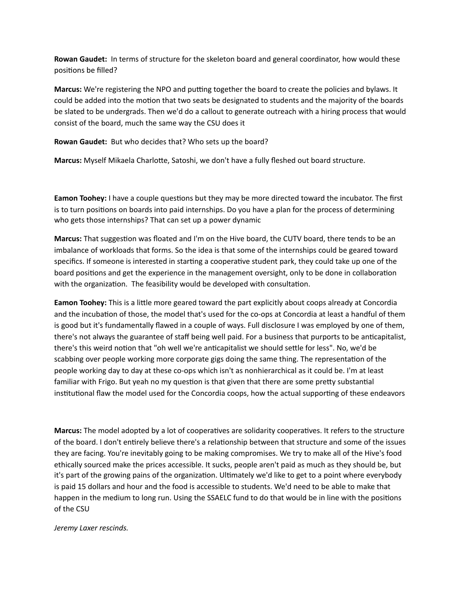**Rowan Gaudet:** In terms of structure for the skeleton board and general coordinator, how would these positions be filled?

**Marcus:** We're registering the NPO and putting together the board to create the policies and bylaws. It could be added into the motion that two seats be designated to students and the majority of the boards be slated to be undergrads. Then we'd do a callout to generate outreach with a hiring process that would consist of the board, much the same way the CSU does it

**Rowan Gaudet:** But who decides that? Who sets up the board?

**Marcus:** Myself Mikaela Charlotte, Satoshi, we don't have a fully fleshed out board structure.

**Eamon Toohey:** I have a couple questions but they may be more directed toward the incubator. The first is to turn positions on boards into paid internships. Do you have a plan for the process of determining who gets those internships? That can set up a power dynamic

**Marcus:** That suggestion was floated and I'm on the Hive board, the CUTV board, there tends to be an imbalance of workloads that forms. So the idea is that some of the internships could be geared toward specifics. If someone is interested in starting a cooperative student park, they could take up one of the board positions and get the experience in the management oversight, only to be done in collaboration with the organization. The feasibility would be developed with consultation.

**Eamon Toohey:** This is a little more geared toward the part explicitly about coops already at Concordia and the incubation of those, the model that's used for the co-ops at Concordia at least a handful of them is good but it's fundamentally flawed in a couple of ways. Full disclosure I was employed by one of them, there's not always the guarantee of staff being well paid. For a business that purports to be anticapitalist, there's this weird notion that "oh well we're anticapitalist we should settle for less". No, we'd be scabbing over people working more corporate gigs doing the same thing. The representation of the people working day to day at these co-ops which isn't as nonhierarchical as it could be. I'm at least familiar with Frigo. But yeah no my question is that given that there are some pretty substantial institutional flaw the model used for the Concordia coops, how the actual supporting of these endeavors

**Marcus:** The model adopted by a lot of cooperatives are solidarity cooperatives. It refers to the structure of the board. I don't entirely believe there's a relationship between that structure and some of the issues they are facing. You're inevitably going to be making compromises. We try to make all of the Hive's food ethically sourced make the prices accessible. It sucks, people aren't paid as much as they should be, but it's part of the growing pains of the organization. Ultimately we'd like to get to a point where everybody is paid 15 dollars and hour and the food is accessible to students. We'd need to be able to make that happen in the medium to long run. Using the SSAELC fund to do that would be in line with the positions of the CSU

*Jeremy Laxer rescinds.*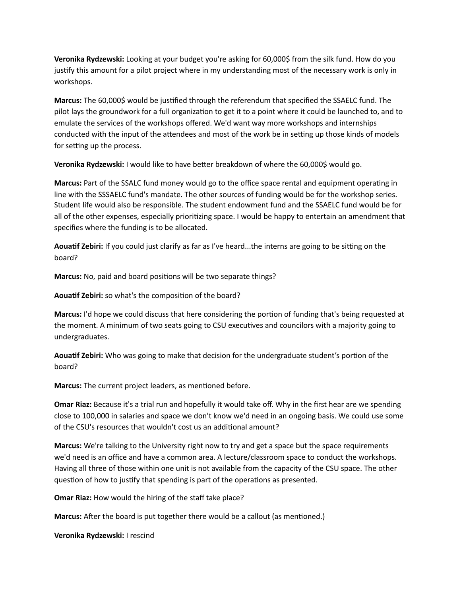**Veronika Rydzewski:** Looking at your budget you're asking for 60,000\$ from the silk fund. How do you justify this amount for a pilot project where in my understanding most of the necessary work is only in workshops. 

**Marcus:** The 60,000\$ would be justified through the referendum that specified the SSAELC fund. The pilot lays the groundwork for a full organization to get it to a point where it could be launched to, and to emulate the services of the workshops offered. We'd want way more workshops and internships conducted with the input of the attendees and most of the work be in setting up those kinds of models for setting up the process.

**Veronika Rydzewski:** I would like to have better breakdown of where the 60,000\$ would go.

**Marcus:** Part of the SSALC fund money would go to the office space rental and equipment operating in line with the SSSAELC fund's mandate. The other sources of funding would be for the workshop series. Student life would also be responsible. The student endowment fund and the SSAELC fund would be for all of the other expenses, especially prioritizing space. I would be happy to entertain an amendment that specifies where the funding is to be allocated.

**Aouatif Zebiri:** If you could just clarify as far as I've heard...the interns are going to be sitting on the board? 

Marcus: No, paid and board positions will be two separate things?

**Aouatif Zebiri:** so what's the composition of the board?

**Marcus:** I'd hope we could discuss that here considering the portion of funding that's being requested at the moment. A minimum of two seats going to CSU executives and councilors with a majority going to undergraduates. 

Aouatif Zebiri: Who was going to make that decision for the undergraduate student's portion of the board? 

**Marcus:** The current project leaders, as mentioned before.

**Omar Riaz:** Because it's a trial run and hopefully it would take off. Why in the first hear are we spending close to 100,000 in salaries and space we don't know we'd need in an ongoing basis. We could use some of the CSU's resources that wouldn't cost us an additional amount?

**Marcus:** We're talking to the University right now to try and get a space but the space requirements we'd need is an office and have a common area. A lecture/classroom space to conduct the workshops. Having all three of those within one unit is not available from the capacity of the CSU space. The other question of how to justify that spending is part of the operations as presented.

**Omar Riaz:** How would the hiring of the staff take place?

**Marcus:** After the board is put together there would be a callout (as mentioned.)

**Veronika Rydzewski:** I rescind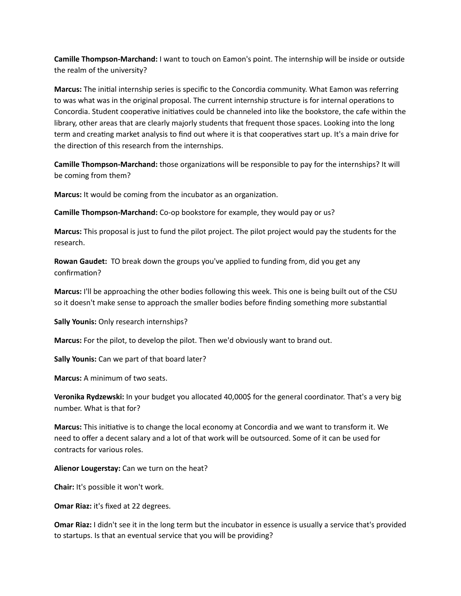**Camille Thompson-Marchand:** I want to touch on Eamon's point. The internship will be inside or outside the realm of the university?

**Marcus:** The initial internship series is specific to the Concordia community. What Eamon was referring to was what was in the original proposal. The current internship structure is for internal operations to Concordia. Student cooperative initiatives could be channeled into like the bookstore, the cafe within the library, other areas that are clearly majorly students that frequent those spaces. Looking into the long term and creating market analysis to find out where it is that cooperatives start up. It's a main drive for the direction of this research from the internships.

**Camille Thompson-Marchand:** those organizations will be responsible to pay for the internships? It will be coming from them?

**Marcus:** It would be coming from the incubator as an organization.

**Camille Thompson-Marchand:** Co-op bookstore for example, they would pay or us?

**Marcus:** This proposal is just to fund the pilot project. The pilot project would pay the students for the research. 

**Rowan Gaudet:** TO break down the groups you've applied to funding from, did you get any confirmation?

**Marcus:** I'll be approaching the other bodies following this week. This one is being built out of the CSU so it doesn't make sense to approach the smaller bodies before finding something more substantial

**Sally Younis:** Only research internships?

Marcus: For the pilot, to develop the pilot. Then we'd obviously want to brand out.

**Sally Younis:** Can we part of that board later?

**Marcus:** A minimum of two seats.

Veronika Rydzewski: In your budget you allocated 40,000\$ for the general coordinator. That's a very big number. What is that for?

**Marcus:** This initiative is to change the local economy at Concordia and we want to transform it. We need to offer a decent salary and a lot of that work will be outsourced. Some of it can be used for contracts for various roles. 

**Alienor Lougerstay:** Can we turn on the heat?

**Chair:** It's possible it won't work.

**Omar Riaz:** it's fixed at 22 degrees.

**Omar Riaz:** I didn't see it in the long term but the incubator in essence is usually a service that's provided to startups. Is that an eventual service that you will be providing?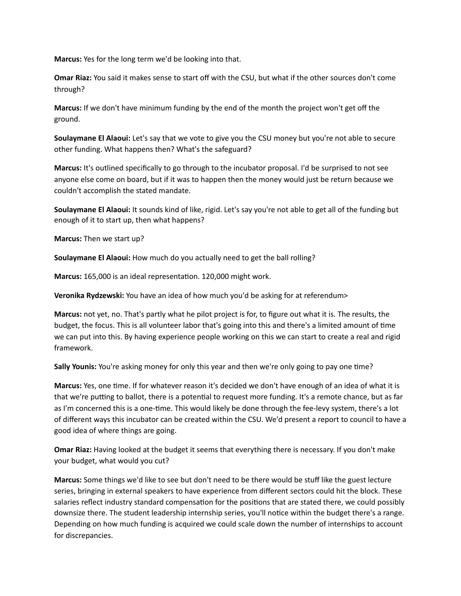**Marcus:** Yes for the long term we'd be looking into that.

**Omar Riaz:** You said it makes sense to start off with the CSU, but what if the other sources don't come through? 

**Marcus:** If we don't have minimum funding by the end of the month the project won't get off the ground. 

**Soulaymane El Alaoui:** Let's say that we vote to give you the CSU money but you're not able to secure other funding. What happens then? What's the safeguard?

**Marcus:** It's outlined specifically to go through to the incubator proposal. I'd be surprised to not see anyone else come on board, but if it was to happen then the money would just be return because we couldn't accomplish the stated mandate.

**Soulaymane El Alaoui:** It sounds kind of like, rigid. Let's say you're not able to get all of the funding but enough of it to start up, then what happens?

**Marcus:** Then we start up?

**Soulaymane El Alaoui:** How much do you actually need to get the ball rolling?

Marcus: 165,000 is an ideal representation. 120,000 might work.

**Veronika Rydzewski:** You have an idea of how much you'd be asking for at referendum>

**Marcus:** not yet, no. That's partly what he pilot project is for, to figure out what it is. The results, the budget, the focus. This is all volunteer labor that's going into this and there's a limited amount of time we can put into this. By having experience people working on this we can start to create a real and rigid framework. 

**Sally Younis:** You're asking money for only this year and then we're only going to pay one time?

**Marcus:** Yes, one time. If for whatever reason it's decided we don't have enough of an idea of what it is that we're putting to ballot, there is a potential to request more funding. It's a remote chance, but as far as I'm concerned this is a one-time. This would likely be done through the fee-levy system, there's a lot of different ways this incubator can be created within the CSU. We'd present a report to council to have a good idea of where things are going.

**Omar Riaz:** Having looked at the budget it seems that everything there is necessary. If you don't make your budget, what would you cut?

**Marcus:** Some things we'd like to see but don't need to be there would be stuff like the guest lecture series, bringing in external speakers to have experience from different sectors could hit the block. These salaries reflect industry standard compensation for the positions that are stated there, we could possibly downsize there. The student leadership internship series, you'll notice within the budget there's a range. Depending on how much funding is acquired we could scale down the number of internships to account for discrepancies.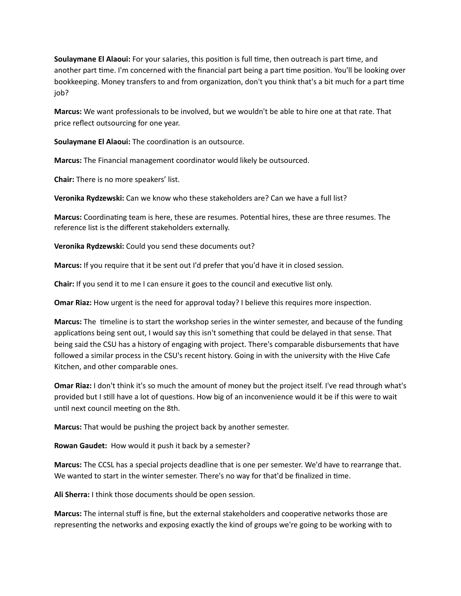**Soulaymane El Alaoui:** For your salaries, this position is full time, then outreach is part time, and another part time. I'm concerned with the financial part being a part time position. You'll be looking over bookkeeping. Money transfers to and from organization, don't you think that's a bit much for a part time job? 

**Marcus:** We want professionals to be involved, but we wouldn't be able to hire one at that rate. That price reflect outsourcing for one year.

**Soulaymane El Alaoui:** The coordination is an outsource.

**Marcus:** The Financial management coordinator would likely be outsourced.

**Chair:** There is no more speakers' list.

**Veronika Rydzewski:** Can we know who these stakeholders are? Can we have a full list?

**Marcus:** Coordinating team is here, these are resumes. Potential hires, these are three resumes. The reference list is the different stakeholders externally.

**Veronika Rydzewski:** Could you send these documents out?

**Marcus:** If you require that it be sent out I'd prefer that you'd have it in closed session.

**Chair:** If you send it to me I can ensure it goes to the council and executive list only.

**Omar Riaz:** How urgent is the need for approval today? I believe this requires more inspection.

**Marcus:** The timeline is to start the workshop series in the winter semester, and because of the funding applications being sent out, I would say this isn't something that could be delayed in that sense. That being said the CSU has a history of engaging with project. There's comparable disbursements that have followed a similar process in the CSU's recent history. Going in with the university with the Hive Cafe Kitchen, and other comparable ones.

**Omar Riaz:** I don't think it's so much the amount of money but the project itself. I've read through what's provided but I still have a lot of questions. How big of an inconvenience would it be if this were to wait until next council meeting on the 8th.

**Marcus:** That would be pushing the project back by another semester.

**Rowan Gaudet:** How would it push it back by a semester?

**Marcus:** The CCSL has a special projects deadline that is one per semester. We'd have to rearrange that. We wanted to start in the winter semester. There's no way for that'd be finalized in time.

**Ali Sherra:** I think those documents should be open session.

**Marcus:** The internal stuff is fine, but the external stakeholders and cooperative networks those are representing the networks and exposing exactly the kind of groups we're going to be working with to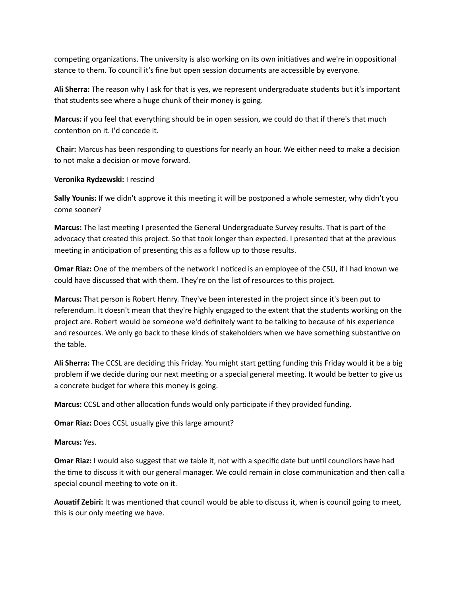competing organizations. The university is also working on its own initiatives and we're in oppositional stance to them. To council it's fine but open session documents are accessible by everyone.

**Ali Sherra:** The reason why I ask for that is yes, we represent undergraduate students but it's important that students see where a huge chunk of their money is going.

**Marcus:** if you feel that everything should be in open session, we could do that if there's that much contention on it. I'd concede it.

**Chair:** Marcus has been responding to questions for nearly an hour. We either need to make a decision to not make a decision or move forward.

### **Veronika Rydzewski:** I rescind

**Sally Younis:** If we didn't approve it this meeting it will be postponed a whole semester, why didn't you come sooner?

Marcus: The last meeting I presented the General Undergraduate Survey results. That is part of the advocacy that created this project. So that took longer than expected. I presented that at the previous meeting in anticipation of presenting this as a follow up to those results.

**Omar Riaz:** One of the members of the network I noticed is an employee of the CSU, if I had known we could have discussed that with them. They're on the list of resources to this project.

**Marcus:** That person is Robert Henry. They've been interested in the project since it's been put to referendum. It doesn't mean that they're highly engaged to the extent that the students working on the project are. Robert would be someone we'd definitely want to be talking to because of his experience and resources. We only go back to these kinds of stakeholders when we have something substantive on the table.

**Ali Sherra:** The CCSL are deciding this Friday. You might start getting funding this Friday would it be a big problem if we decide during our next meeting or a special general meeting. It would be better to give us a concrete budget for where this money is going.

**Marcus:** CCSL and other allocation funds would only participate if they provided funding.

**Omar Riaz:** Does CCSL usually give this large amount?

**Marcus:** Yes. 

**Omar Riaz:** I would also suggest that we table it, not with a specific date but until councilors have had the time to discuss it with our general manager. We could remain in close communication and then call a special council meeting to vote on it.

**Aouatif Zebiri:** It was mentioned that council would be able to discuss it, when is council going to meet, this is our only meeting we have.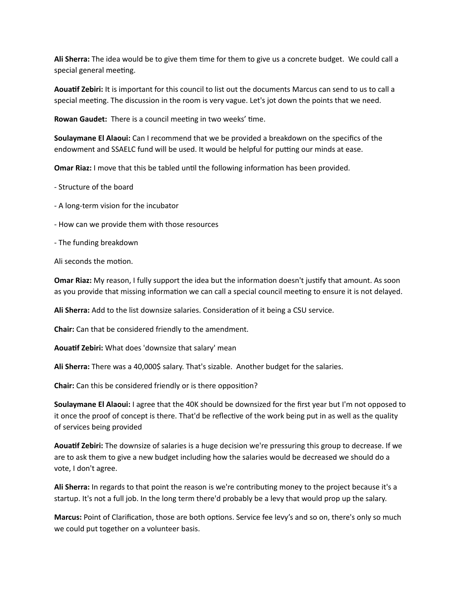**Ali Sherra:** The idea would be to give them time for them to give us a concrete budget. We could call a special general meeting.

**Aouatif Zebiri:** It is important for this council to list out the documents Marcus can send to us to call a special meeting. The discussion in the room is very vague. Let's jot down the points that we need.

**Rowan Gaudet:** There is a council meeting in two weeks' time.

**Soulaymane El Alaoui:** Can I recommend that we be provided a breakdown on the specifics of the endowment and SSAELC fund will be used. It would be helpful for putting our minds at ease.

**Omar Riaz:** I move that this be tabled until the following information has been provided.

- Structure of the board

- A long-term vision for the incubator
- How can we provide them with those resources
- The funding breakdown

Ali seconds the motion.

**Omar Riaz:** My reason, I fully support the idea but the information doesn't justify that amount. As soon as you provide that missing information we can call a special council meeting to ensure it is not delayed.

Ali Sherra: Add to the list downsize salaries. Consideration of it being a CSU service.

**Chair:** Can that be considered friendly to the amendment.

Aouatif Zebiri: What does 'downsize that salary' mean

Ali Sherra: There was a 40,000\$ salary. That's sizable. Another budget for the salaries.

**Chair:** Can this be considered friendly or is there opposition?

**Soulaymane El Alaoui:** I agree that the 40K should be downsized for the first year but I'm not opposed to it once the proof of concept is there. That'd be reflective of the work being put in as well as the quality of services being provided

Aouatif Zebiri: The downsize of salaries is a huge decision we're pressuring this group to decrease. If we are to ask them to give a new budget including how the salaries would be decreased we should do a vote, I don't agree.

**Ali Sherra:** In regards to that point the reason is we're contributing money to the project because it's a startup. It's not a full job. In the long term there'd probably be a levy that would prop up the salary.

**Marcus:** Point of Clarification, those are both options. Service fee levy's and so on, there's only so much we could put together on a volunteer basis.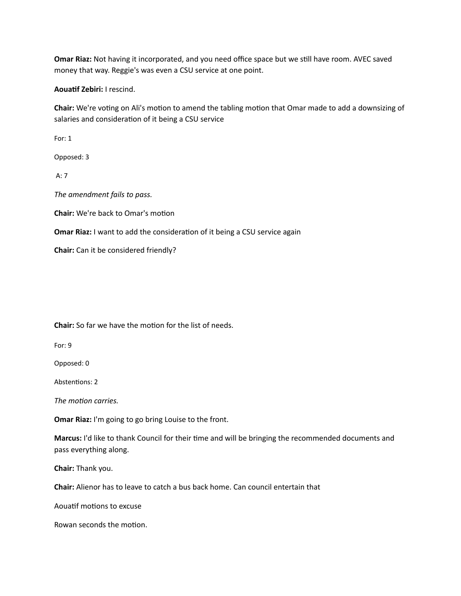**Omar Riaz:** Not having it incorporated, and you need office space but we still have room. AVEC saved money that way. Reggie's was even a CSU service at one point.

**Aouatif Zebiri:** I rescind.

**Chair:** We're voting on Ali's motion to amend the tabling motion that Omar made to add a downsizing of salaries and consideration of it being a CSU service

For: 1

Opposed: 3 

 $A:7$ 

The amendment fails to pass.

**Chair:** We're back to Omar's motion

**Omar Riaz:** I want to add the consideration of it being a CSU service again

**Chair:** Can it be considered friendly?

**Chair:** So far we have the motion for the list of needs.

For: 9

Opposed: 0

Abstentions: 2

The motion carries.

**Omar Riaz:** I'm going to go bring Louise to the front.

Marcus: I'd like to thank Council for their time and will be bringing the recommended documents and pass everything along.

**Chair:** Thank you.

**Chair:** Alienor has to leave to catch a bus back home. Can council entertain that

Aouatif motions to excuse

Rowan seconds the motion.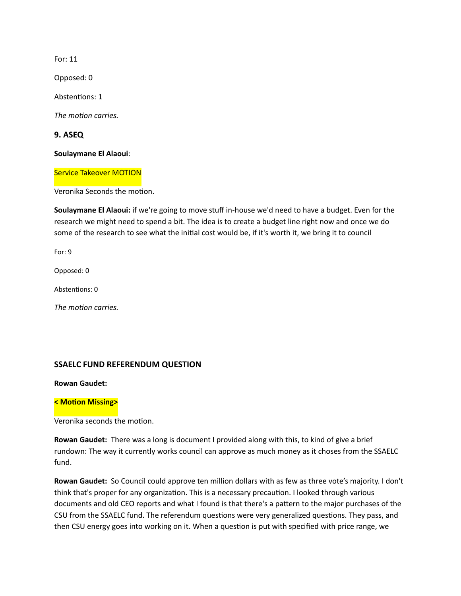For: 11 

Opposed: 0 

Abstentions: 1

The *motion* carries.

**9. ASEQ** 

**Soulaymane El Alaoui**: 

**Service Takeover MOTION** 

Veronika Seconds the motion.

**Soulaymane El Alaoui:** if we're going to move stuff in-house we'd need to have a budget. Even for the research we might need to spend a bit. The idea is to create a budget line right now and once we do some of the research to see what the initial cost would be, if it's worth it, we bring it to council

For: 9

Opposed: 0

Abstentions: 0

The *motion* carries.

## **SSAELC FUND REFERENDUM QUESTION**

**Rowan Gaudet:** 

#### **< Motion Missing>**

Veronika seconds the motion.

**Rowan Gaudet:** There was a long is document I provided along with this, to kind of give a brief rundown: The way it currently works council can approve as much money as it choses from the SSAELC fund. 

**Rowan Gaudet:** So Council could approve ten million dollars with as few as three vote's majority. I don't think that's proper for any organization. This is a necessary precaution. I looked through various documents and old CEO reports and what I found is that there's a pattern to the major purchases of the CSU from the SSAELC fund. The referendum questions were very generalized questions. They pass, and then CSU energy goes into working on it. When a question is put with specified with price range, we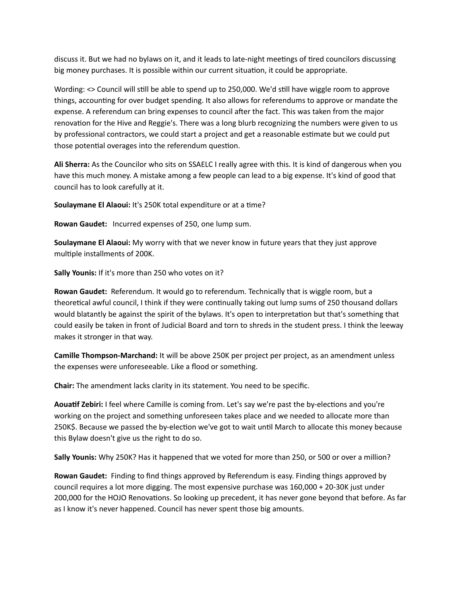discuss it. But we had no bylaws on it, and it leads to late-night meetings of tired councilors discussing big money purchases. It is possible within our current situation, it could be appropriate.

Wording: <> Council will still be able to spend up to 250,000. We'd still have wiggle room to approve things, accounting for over budget spending. It also allows for referendums to approve or mandate the expense. A referendum can bring expenses to council after the fact. This was taken from the major renovation for the Hive and Reggie's. There was a long blurb recognizing the numbers were given to us by professional contractors, we could start a project and get a reasonable estimate but we could put those potential overages into the referendum question.

**Ali Sherra:** As the Councilor who sits on SSAELC I really agree with this. It is kind of dangerous when you have this much money. A mistake among a few people can lead to a big expense. It's kind of good that council has to look carefully at it.

**Soulaymane El Alaoui:** It's 250K total expenditure or at a time?

**Rowan Gaudet:** Incurred expenses of 250, one lump sum.

**Soulaymane El Alaoui:** My worry with that we never know in future years that they just approve multiple installments of 200K.

**Sally Younis:** If it's more than 250 who votes on it?

**Rowan Gaudet:** Referendum. It would go to referendum. Technically that is wiggle room, but a theoretical awful council, I think if they were continually taking out lump sums of 250 thousand dollars would blatantly be against the spirit of the bylaws. It's open to interpretation but that's something that could easily be taken in front of Judicial Board and torn to shreds in the student press. I think the leeway makes it stronger in that way.

**Camille Thompson-Marchand:** It will be above 250K per project per project, as an amendment unless the expenses were unforeseeable. Like a flood or something.

**Chair:** The amendment lacks clarity in its statement. You need to be specific.

Aouatif Zebiri: I feel where Camille is coming from. Let's say we're past the by-elections and you're working on the project and something unforeseen takes place and we needed to allocate more than 250K\$. Because we passed the by-election we've got to wait until March to allocate this money because this Bylaw doesn't give us the right to do so.

**Sally Younis:** Why 250K? Has it happened that we voted for more than 250, or 500 or over a million?

**Rowan Gaudet:** Finding to find things approved by Referendum is easy. Finding things approved by council requires a lot more digging. The most expensive purchase was 160,000 + 20-30K just under 200,000 for the HOJO Renovations. So looking up precedent, it has never gone beyond that before. As far as I know it's never happened. Council has never spent those big amounts.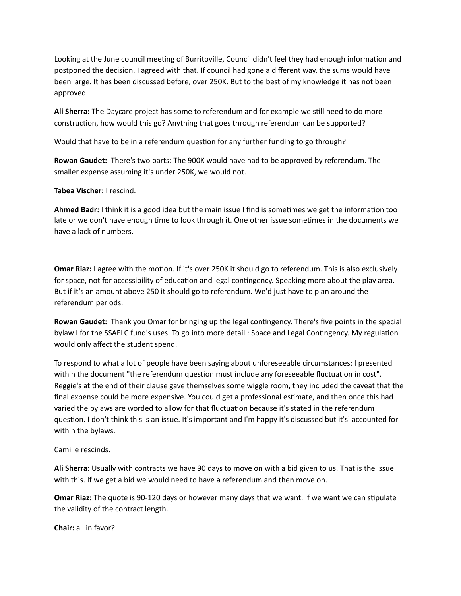Looking at the June council meeting of Burritoville, Council didn't feel they had enough information and postponed the decision. I agreed with that. If council had gone a different way, the sums would have been large. It has been discussed before, over 250K. But to the best of my knowledge it has not been approved. 

Ali Sherra: The Daycare project has some to referendum and for example we still need to do more construction, how would this go? Anything that goes through referendum can be supported?

Would that have to be in a referendum question for any further funding to go through?

**Rowan Gaudet:** There's two parts: The 900K would have had to be approved by referendum. The smaller expense assuming it's under 250K, we would not.

**Tabea Vischer:** I rescind.

**Ahmed Badr:** I think it is a good idea but the main issue I find is sometimes we get the information too late or we don't have enough time to look through it. One other issue sometimes in the documents we have a lack of numbers.

**Omar Riaz:** I agree with the motion. If it's over 250K it should go to referendum. This is also exclusively for space, not for accessibility of education and legal contingency. Speaking more about the play area. But if it's an amount above 250 it should go to referendum. We'd just have to plan around the referendum periods.

Rowan Gaudet: Thank you Omar for bringing up the legal contingency. There's five points in the special bylaw I for the SSAELC fund's uses. To go into more detail : Space and Legal Contingency. My regulation would only affect the student spend.

To respond to what a lot of people have been saying about unforeseeable circumstances: I presented within the document "the referendum question must include any foreseeable fluctuation in cost". Reggie's at the end of their clause gave themselves some wiggle room, they included the caveat that the final expense could be more expensive. You could get a professional estimate, and then once this had varied the bylaws are worded to allow for that fluctuation because it's stated in the referendum question. I don't think this is an issue. It's important and I'm happy it's discussed but it's' accounted for within the bylaws.

Camille rescinds.

**Ali Sherra:** Usually with contracts we have 90 days to move on with a bid given to us. That is the issue with this. If we get a bid we would need to have a referendum and then move on.

**Omar Riaz:** The quote is 90-120 days or however many days that we want. If we want we can stipulate the validity of the contract length.

**Chair:** all in favor?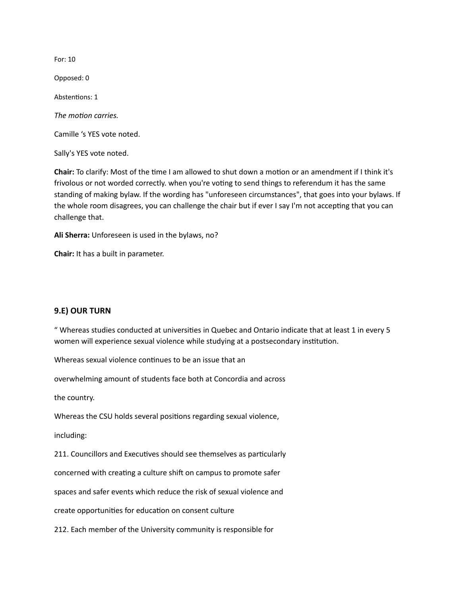For: 10 

Opposed: 0

Abstentions: 1

The *motion* carries.

Camille 's YES vote noted.

Sally's YES vote noted.

**Chair:** To clarify: Most of the time I am allowed to shut down a motion or an amendment if I think it's frivolous or not worded correctly. when you're voting to send things to referendum it has the same standing of making bylaw. If the wording has "unforeseen circumstances", that goes into your bylaws. If the whole room disagrees, you can challenge the chair but if ever I say I'm not accepting that you can challenge that.

**Ali Sherra:** Unforeseen is used in the bylaws, no?

**Chair:** It has a built in parameter.

#### **9.E) OUR TURN**

" Whereas studies conducted at universities in Quebec and Ontario indicate that at least 1 in every 5 women will experience sexual violence while studying at a postsecondary institution.

Whereas sexual violence continues to be an issue that an

overwhelming amount of students face both at Concordia and across

the country.

Whereas the CSU holds several positions regarding sexual violence,

including: 

211. Councillors and Executives should see themselves as particularly

concerned with creating a culture shift on campus to promote safer

spaces and safer events which reduce the risk of sexual violence and

create opportunities for education on consent culture

212. Each member of the University community is responsible for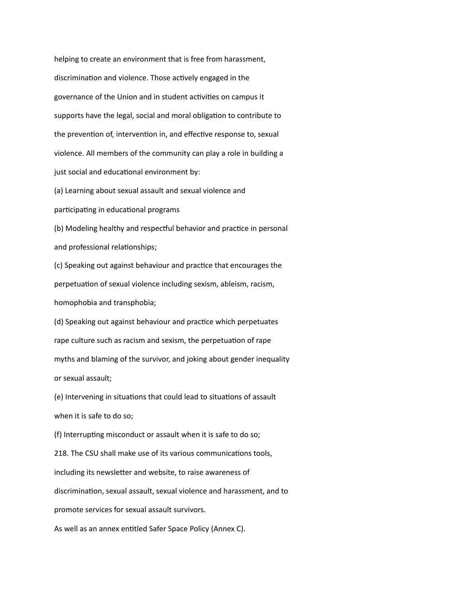helping to create an environment that is free from harassment, discrimination and violence. Those actively engaged in the governance of the Union and in student activities on campus it supports have the legal, social and moral obligation to contribute to the prevention of, intervention in, and effective response to, sexual violence. All members of the community can play a role in building a just social and educational environment by:

(a) Learning about sexual assault and sexual violence and

participating in educational programs

(b) Modeling healthy and respectful behavior and practice in personal and professional relationships;

(c) Speaking out against behaviour and practice that encourages the perpetuation of sexual violence including sexism, ableism, racism, homophobia and transphobia;

(d) Speaking out against behaviour and practice which perpetuates rape culture such as racism and sexism, the perpetuation of rape myths and blaming of the survivor, and joking about gender inequality or sexual assault;

(e) Intervening in situations that could lead to situations of assault when it is safe to do so;

(f) Interrupting misconduct or assault when it is safe to do so;

218. The CSU shall make use of its various communications tools,

including its newsletter and website, to raise awareness of

discrimination, sexual assault, sexual violence and harassment, and to

promote services for sexual assault survivors.

As well as an annex entitled Safer Space Policy (Annex C).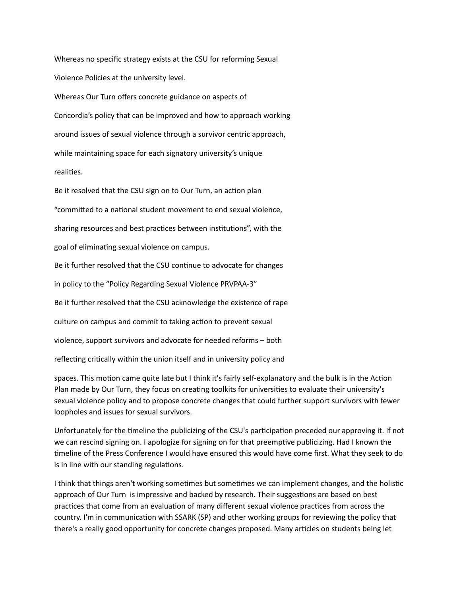Whereas no specific strategy exists at the CSU for reforming Sexual Violence Policies at the university level. Whereas Our Turn offers concrete guidance on aspects of

Concordia's policy that can be improved and how to approach working around issues of sexual violence through a survivor centric approach, while maintaining space for each signatory university's unique realities.

Be it resolved that the CSU sign on to Our Turn, an action plan "committed to a national student movement to end sexual violence, sharing resources and best practices between institutions", with the goal of eliminating sexual violence on campus. Be it further resolved that the CSU continue to advocate for changes in policy to the "Policy Regarding Sexual Violence PRVPAA-3" Be it further resolved that the CSU acknowledge the existence of rape culture on campus and commit to taking action to prevent sexual violence, support survivors and advocate for needed reforms – both reflecting critically within the union itself and in university policy and

spaces. This motion came quite late but I think it's fairly self-explanatory and the bulk is in the Action Plan made by Our Turn, they focus on creating toolkits for universities to evaluate their university's sexual violence policy and to propose concrete changes that could further support survivors with fewer loopholes and issues for sexual survivors.

Unfortunately for the timeline the publicizing of the CSU's participation preceded our approving it. If not we can rescind signing on. I apologize for signing on for that preemptive publicizing. Had I known the timeline of the Press Conference I would have ensured this would have come first. What they seek to do is in line with our standing regulations.

I think that things aren't working sometimes but sometimes we can implement changes, and the holistic approach of Our Turn is impressive and backed by research. Their suggestions are based on best practices that come from an evaluation of many different sexual violence practices from across the country. I'm in communication with SSARK (SP) and other working groups for reviewing the policy that there's a really good opportunity for concrete changes proposed. Many articles on students being let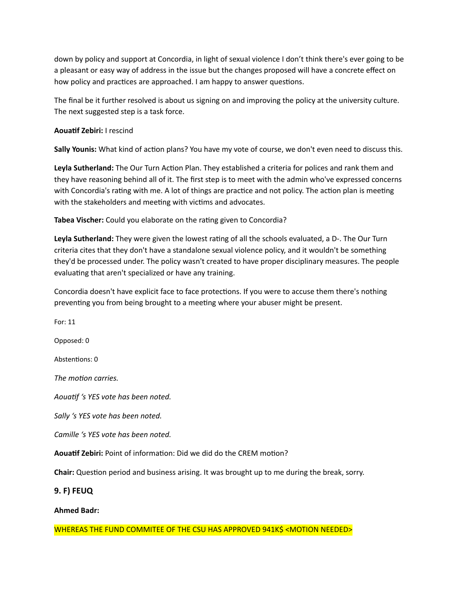down by policy and support at Concordia, in light of sexual violence I don't think there's ever going to be a pleasant or easy way of address in the issue but the changes proposed will have a concrete effect on how policy and practices are approached. I am happy to answer questions.

The final be it further resolved is about us signing on and improving the policy at the university culture. The next suggested step is a task force.

### **Aouatif Zebiri:** I rescind

Sally Younis: What kind of action plans? You have my vote of course, we don't even need to discuss this.

**Leyla Sutherland:** The Our Turn Action Plan. They established a criteria for polices and rank them and they have reasoning behind all of it. The first step is to meet with the admin who've expressed concerns with Concordia's rating with me. A lot of things are practice and not policy. The action plan is meeting with the stakeholders and meeting with victims and advocates.

**Tabea Vischer:** Could you elaborate on the rating given to Concordia?

Leyla Sutherland: They were given the lowest rating of all the schools evaluated, a D-. The Our Turn criteria cites that they don't have a standalone sexual violence policy, and it wouldn't be something they'd be processed under. The policy wasn't created to have proper disciplinary measures. The people evaluating that aren't specialized or have any training.

Concordia doesn't have explicit face to face protections. If you were to accuse them there's nothing preventing you from being brought to a meeting where your abuser might be present.

For: 11 Opposed: 0 Abstentions: 0 *The motion carries.* Aouatif 's YES vote has been noted. *Sally* 's YES vote has been noted. *Camille* 's YES vote has been noted. **Aouatif Zebiri:** Point of information: Did we did do the CREM motion? **Chair:** Question period and business arising. It was brought up to me during the break, sorry.

**9. F) FEUQ** 

**Ahmed Badr:** 

WHEREAS THE FUND COMMITEE OF THE CSU HAS APPROVED 941K\$ <MOTION NEEDED>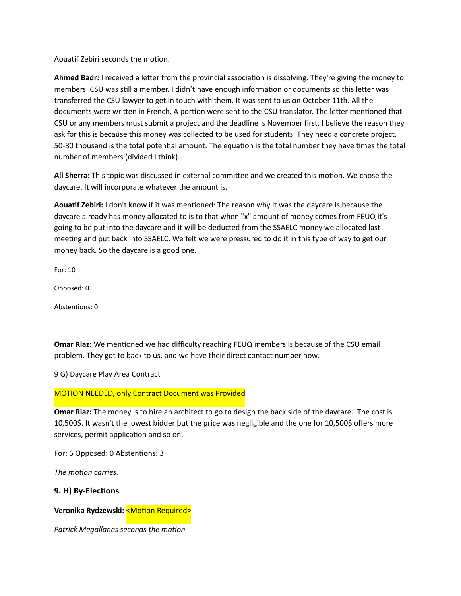Aouatif Zebiri seconds the motion.

Ahmed Badr: I received a letter from the provincial association is dissolving. They're giving the money to members. CSU was still a member. I didn't have enough information or documents so this letter was transferred the CSU lawyer to get in touch with them. It was sent to us on October 11th. All the documents were written in French. A portion were sent to the CSU translator. The letter mentioned that CSU or any members must submit a project and the deadline is November first. I believe the reason they ask for this is because this money was collected to be used for students. They need a concrete project. 50-80 thousand is the total potential amount. The equation is the total number they have times the total number of members (divided I think).

**Ali Sherra:** This topic was discussed in external committee and we created this motion. We chose the daycare. It will incorporate whatever the amount is.

Aouatif Zebiri: I don't know if it was mentioned: The reason why it was the daycare is because the daycare already has money allocated to is to that when "x" amount of money comes from FEUQ it's going to be put into the daycare and it will be deducted from the SSAELC money we allocated last meeting and put back into SSAELC. We felt we were pressured to do it in this type of way to get our money back. So the daycare is a good one.

For: 10 

Opposed: 0

Abstentions: 0

**Omar Riaz:** We mentioned we had difficulty reaching FEUQ members is because of the CSU email problem. They got to back to us, and we have their direct contact number now.

9 G) Daycare Play Area Contract

#### **MOTION NEEDED, only Contract Document was Provided**

**Omar Riaz:** The money is to hire an architect to go to design the back side of the daycare. The cost is 10,500\$. It wasn't the lowest bidder but the price was negligible and the one for 10,500\$ offers more services, permit application and so on.

For: 6 Opposed: 0 Abstentions: 3

The *motion* carries.

### **9. H) By-Elections**

**Veronika Rydzewski: <Motion Required>** 

**Patrick Megallanes seconds the motion.**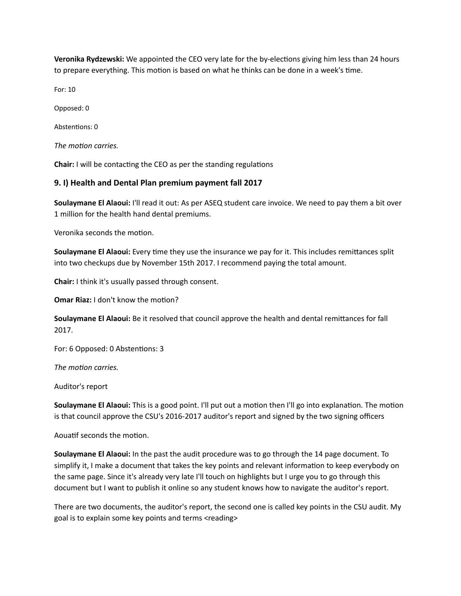**Veronika Rydzewski:** We appointed the CEO very late for the by-elections giving him less than 24 hours to prepare everything. This motion is based on what he thinks can be done in a week's time.

For: 10 

Opposed: 0

Abstentions: 0

The *motion* carries.

**Chair:** I will be contacting the CEO as per the standing regulations

### **9. I) Health and Dental Plan premium payment fall 2017**

**Soulaymane El Alaoui:** I'll read it out: As per ASEQ student care invoice. We need to pay them a bit over 1 million for the health hand dental premiums.

Veronika seconds the motion.

**Soulaymane El Alaoui:** Every time they use the insurance we pay for it. This includes remittances split into two checkups due by November 15th 2017. I recommend paying the total amount.

**Chair:** I think it's usually passed through consent.

**Omar Riaz:** I don't know the motion?

**Soulaymane El Alaoui:** Be it resolved that council approve the health and dental remittances for fall 2017. 

For: 6 Opposed: 0 Abstentions: 3

The *motion* carries.

Auditor's report

**Soulaymane El Alaoui:** This is a good point. I'll put out a motion then I'll go into explanation. The motion is that council approve the CSU's 2016-2017 auditor's report and signed by the two signing officers

Aouatif seconds the motion.

**Soulaymane El Alaoui:** In the past the audit procedure was to go through the 14 page document. To simplify it, I make a document that takes the key points and relevant information to keep everybody on the same page. Since it's already very late I'll touch on highlights but I urge you to go through this document but I want to publish it online so any student knows how to navigate the auditor's report.

There are two documents, the auditor's report, the second one is called key points in the CSU audit. My goal is to explain some key points and terms <reading>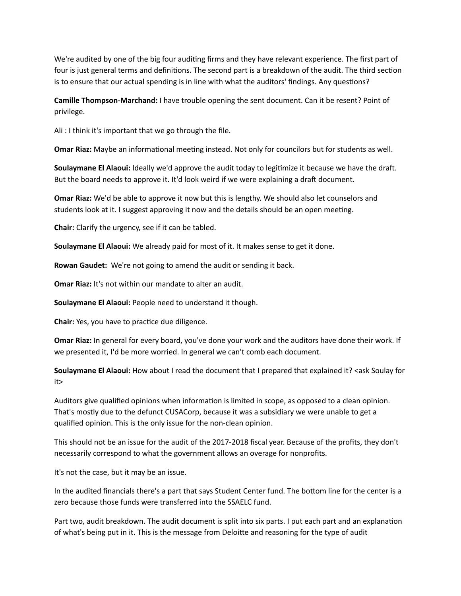We're audited by one of the big four auditing firms and they have relevant experience. The first part of four is just general terms and definitions. The second part is a breakdown of the audit. The third section is to ensure that our actual spending is in line with what the auditors' findings. Any questions?

**Camille Thompson-Marchand:** I have trouble opening the sent document. Can it be resent? Point of privilege. 

Ali: I think it's important that we go through the file.

**Omar Riaz:** Maybe an informational meeting instead. Not only for councilors but for students as well.

**Soulaymane El Alaoui:** Ideally we'd approve the audit today to legitimize it because we have the draft. But the board needs to approve it. It'd look weird if we were explaining a draft document.

**Omar Riaz:** We'd be able to approve it now but this is lengthy. We should also let counselors and students look at it. I suggest approving it now and the details should be an open meeting.

**Chair:** Clarify the urgency, see if it can be tabled.

**Soulaymane El Alaoui:** We already paid for most of it. It makes sense to get it done.

**Rowan Gaudet:** We're not going to amend the audit or sending it back.

**Omar Riaz:** It's not within our mandate to alter an audit.

**Soulaymane El Alaoui:** People need to understand it though.

**Chair:** Yes, you have to practice due diligence.

**Omar Riaz:** In general for every board, you've done your work and the auditors have done their work. If we presented it, I'd be more worried. In general we can't comb each document.

**Soulaymane El Alaoui:** How about I read the document that I prepared that explained it? <ask Soulay for it> 

Auditors give qualified opinions when information is limited in scope, as opposed to a clean opinion. That's mostly due to the defunct CUSACorp, because it was a subsidiary we were unable to get a qualified opinion. This is the only issue for the non-clean opinion.

This should not be an issue for the audit of the 2017-2018 fiscal year. Because of the profits, they don't necessarily correspond to what the government allows an overage for nonprofits.

It's not the case, but it may be an issue.

In the audited financials there's a part that says Student Center fund. The bottom line for the center is a zero because those funds were transferred into the SSAELC fund.

Part two, audit breakdown. The audit document is split into six parts. I put each part and an explanation of what's being put in it. This is the message from Deloitte and reasoning for the type of audit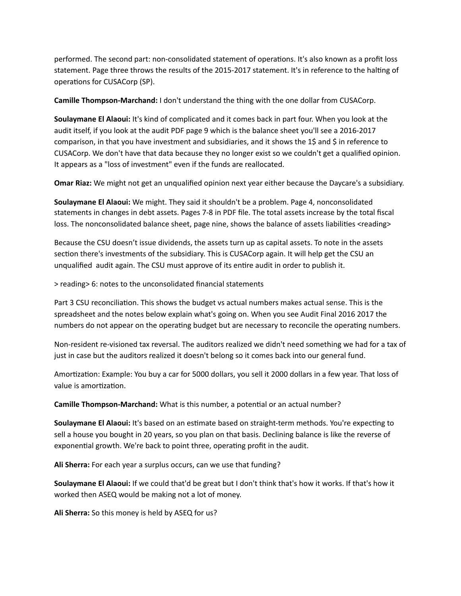performed. The second part: non-consolidated statement of operations. It's also known as a profit loss statement. Page three throws the results of the 2015-2017 statement. It's in reference to the halting of operations for CUSACorp (SP).

**Camille Thompson-Marchand:** I don't understand the thing with the one dollar from CUSACorp.

**Soulaymane El Alaoui:** It's kind of complicated and it comes back in part four. When you look at the audit itself, if you look at the audit PDF page 9 which is the balance sheet you'll see a 2016-2017 comparison, in that you have investment and subsidiaries, and it shows the 1\$ and \$ in reference to CUSACorp. We don't have that data because they no longer exist so we couldn't get a qualified opinion. It appears as a "loss of investment" even if the funds are reallocated.

**Omar Riaz:** We might not get an unqualified opinion next year either because the Daycare's a subsidiary.

**Soulaymane El Alaoui:** We might. They said it shouldn't be a problem. Page 4, nonconsolidated statements in changes in debt assets. Pages 7-8 in PDF file. The total assets increase by the total fiscal loss. The nonconsolidated balance sheet, page nine, shows the balance of assets liabilities <reading>

Because the CSU doesn't issue dividends, the assets turn up as capital assets. To note in the assets section there's investments of the subsidiary. This is CUSACorp again. It will help get the CSU an unqualified audit again. The CSU must approve of its entire audit in order to publish it.

> reading> 6: notes to the unconsolidated financial statements 

Part 3 CSU reconciliation. This shows the budget vs actual numbers makes actual sense. This is the spreadsheet and the notes below explain what's going on. When you see Audit Final 2016 2017 the numbers do not appear on the operating budget but are necessary to reconcile the operating numbers.

Non-resident re-visioned tax reversal. The auditors realized we didn't need something we had for a tax of just in case but the auditors realized it doesn't belong so it comes back into our general fund.

Amortization: Example: You buy a car for 5000 dollars, you sell it 2000 dollars in a few year. That loss of value is amortization.

**Camille Thompson-Marchand:** What is this number, a potential or an actual number?

**Soulaymane El Alaoui:** It's based on an estimate based on straight-term methods. You're expecting to sell a house you bought in 20 years, so you plan on that basis. Declining balance is like the reverse of exponential growth. We're back to point three, operating profit in the audit.

**Ali Sherra:** For each year a surplus occurs, can we use that funding?

**Soulaymane El Alaoui:** If we could that'd be great but I don't think that's how it works. If that's how it worked then ASEQ would be making not a lot of money.

**Ali Sherra:** So this money is held by ASEQ for us?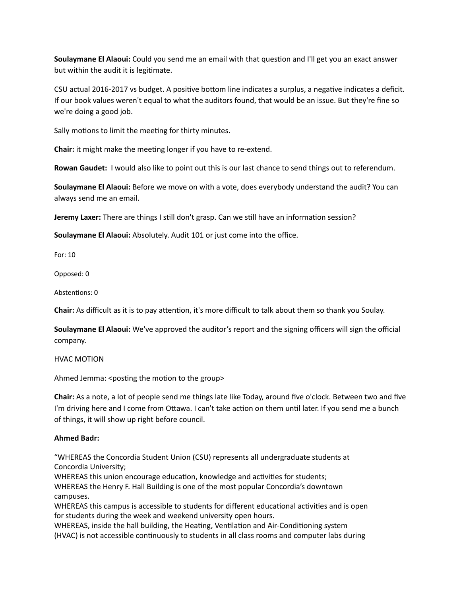**Soulaymane El Alaoui:** Could you send me an email with that question and I'll get you an exact answer but within the audit it is legitimate.

CSU actual 2016-2017 vs budget. A positive bottom line indicates a surplus, a negative indicates a deficit. If our book values weren't equal to what the auditors found, that would be an issue. But they're fine so we're doing a good job.

Sally motions to limit the meeting for thirty minutes.

**Chair:** it might make the meeting longer if you have to re-extend.

**Rowan Gaudet:** I would also like to point out this is our last chance to send things out to referendum.

**Soulaymane El Alaoui:** Before we move on with a vote, does everybody understand the audit? You can always send me an email.

**Jeremy Laxer:** There are things I still don't grasp. Can we still have an information session?

**Soulaymane El Alaoui:** Absolutely. Audit 101 or just come into the office.

For: 10 

Opposed: 0

Abstentions: 0

**Chair:** As difficult as it is to pay attention, it's more difficult to talk about them so thank you Soulay.

**Soulaymane El Alaoui:** We've approved the auditor's report and the signing officers will sign the official company. 

**HVAC MOTION** 

Ahmed Jemma: <posting the motion to the group>

**Chair:** As a note, a lot of people send me things late like Today, around five o'clock. Between two and five I'm driving here and I come from Ottawa. I can't take action on them until later. If you send me a bunch of things, it will show up right before council.

### **Ahmed Badr:**

"WHEREAS the Concordia Student Union (CSU) represents all undergraduate students at Concordia University;

WHEREAS this union encourage education, knowledge and activities for students; WHEREAS the Henry F. Hall Building is one of the most popular Concordia's downtown campuses.

WHEREAS this campus is accessible to students for different educational activities and is open for students during the week and weekend university open hours.

WHEREAS, inside the hall building, the Heating, Ventilation and Air-Conditioning system (HVAC) is not accessible continuously to students in all class rooms and computer labs during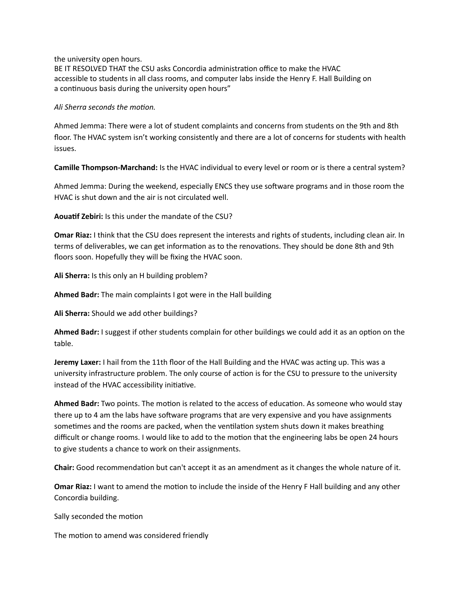the university open hours.

BE IT RESOLVED THAT the CSU asks Concordia administration office to make the HVAC accessible to students in all class rooms, and computer labs inside the Henry F. Hall Building on a continuous basis during the university open hours"

Ali Sherra seconds the motion.

Ahmed Jemma: There were a lot of student complaints and concerns from students on the 9th and 8th floor. The HVAC system isn't working consistently and there are a lot of concerns for students with health issues. 

Camille Thompson-Marchand: Is the HVAC individual to every level or room or is there a central system?

Ahmed Jemma: During the weekend, especially ENCS they use software programs and in those room the HVAC is shut down and the air is not circulated well.

**Aouatif Zebiri:** Is this under the mandate of the CSU?

**Omar Riaz:** I think that the CSU does represent the interests and rights of students, including clean air. In terms of deliverables, we can get information as to the renovations. They should be done 8th and 9th floors soon. Hopefully they will be fixing the HVAC soon.

**Ali Sherra:** Is this only an H building problem?

Ahmed Badr: The main complaints I got were in the Hall building

Ali Sherra: Should we add other buildings?

**Ahmed Badr:** I suggest if other students complain for other buildings we could add it as an option on the table. 

**Jeremy Laxer:** I hail from the 11th floor of the Hall Building and the HVAC was acting up. This was a university infrastructure problem. The only course of action is for the CSU to pressure to the university instead of the HVAC accessibility initiative.

**Ahmed Badr:** Two points. The motion is related to the access of education. As someone who would stay there up to 4 am the labs have software programs that are very expensive and you have assignments sometimes and the rooms are packed, when the ventilation system shuts down it makes breathing difficult or change rooms. I would like to add to the motion that the engineering labs be open 24 hours to give students a chance to work on their assignments.

**Chair:** Good recommendation but can't accept it as an amendment as it changes the whole nature of it.

**Omar Riaz:** I want to amend the motion to include the inside of the Henry F Hall building and any other Concordia building.

Sally seconded the motion

The motion to amend was considered friendly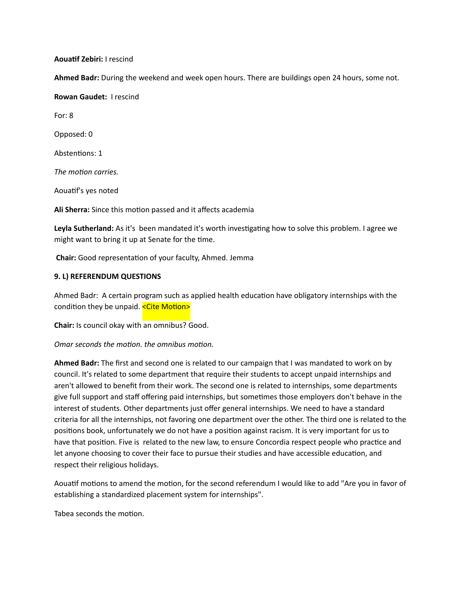**Aouatif Zebiri:** I rescind

Ahmed Badr: During the weekend and week open hours. There are buildings open 24 hours, some not.

**Rowan Gaudet: I rescind** 

For: 8

Opposed: 0 

Abstentions: 1

*The motion carries.* 

Aouatif's yes noted

Ali Sherra: Since this motion passed and it affects academia

**Leyla Sutherland:** As it's been mandated it's worth investigating how to solve this problem. I agree we might want to bring it up at Senate for the time.

**Chair:** Good representation of your faculty, Ahmed. Jemma

## **9. L) REFERENDUM QUESTIONS**

Ahmed Badr: A certain program such as applied health education have obligatory internships with the condition they be unpaid. <Cite Motion>

**Chair:** Is council okay with an omnibus? Good.

*Omar seconds the motion. the omnibus motion.* 

Ahmed Badr: The first and second one is related to our campaign that I was mandated to work on by council. It's related to some department that require their students to accept unpaid internships and aren't allowed to benefit from their work. The second one is related to internships, some departments give full support and staff offering paid internships, but sometimes those employers don't behave in the interest of students. Other departments just offer general internships. We need to have a standard criteria for all the internships, not favoring one department over the other. The third one is related to the positions book, unfortunately we do not have a position against racism. It is very important for us to have that position. Five is related to the new law, to ensure Concordia respect people who practice and let anyone choosing to cover their face to pursue their studies and have accessible education, and respect their religious holidays.

Aouatif motions to amend the motion, for the second referendum I would like to add "Are you in favor of establishing a standardized placement system for internships".

Tabea seconds the motion.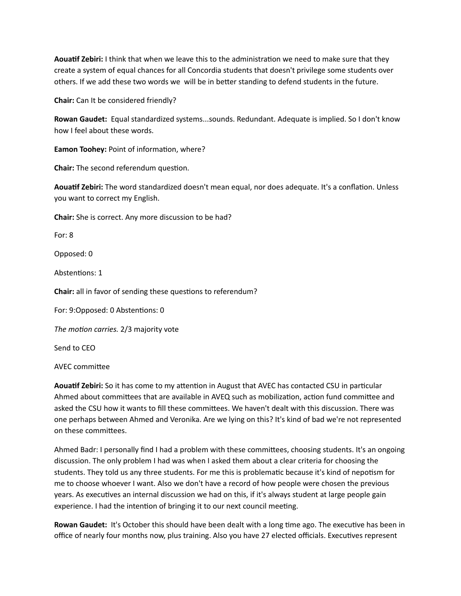**Aouatif Zebiri:** I think that when we leave this to the administration we need to make sure that they create a system of equal chances for all Concordia students that doesn't privilege some students over others. If we add these two words we will be in better standing to defend students in the future.

**Chair:** Can It be considered friendly?

Rowan Gaudet: Equal standardized systems...sounds. Redundant. Adequate is implied. So I don't know how I feel about these words.

**Eamon Toohey:** Point of information, where?

**Chair:** The second referendum question.

Aouatif Zebiri: The word standardized doesn't mean equal, nor does adequate. It's a conflation. Unless you want to correct my English.

**Chair:** She is correct. Any more discussion to be had?

For: 8 

Opposed: 0 

Abstentions: 1

**Chair:** all in favor of sending these questions to referendum?

For: 9:Opposed: 0 Abstentions: 0

The motion carries. 2/3 majority vote

Send to CEO

AVEC committee

Aouatif Zebiri: So it has come to my attention in August that AVEC has contacted CSU in particular Ahmed about committees that are available in AVEQ such as mobilization, action fund committee and asked the CSU how it wants to fill these committees. We haven't dealt with this discussion. There was one perhaps between Ahmed and Veronika. Are we lying on this? It's kind of bad we're not represented on these committees.

Ahmed Badr: I personally find I had a problem with these committees, choosing students. It's an ongoing discussion. The only problem I had was when I asked them about a clear criteria for choosing the students. They told us any three students. For me this is problematic because it's kind of nepotism for me to choose whoever I want. Also we don't have a record of how people were chosen the previous years. As executives an internal discussion we had on this, if it's always student at large people gain experience. I had the intention of bringing it to our next council meeting.

**Rowan Gaudet:** It's October this should have been dealt with a long time ago. The executive has been in office of nearly four months now, plus training. Also you have 27 elected officials. Executives represent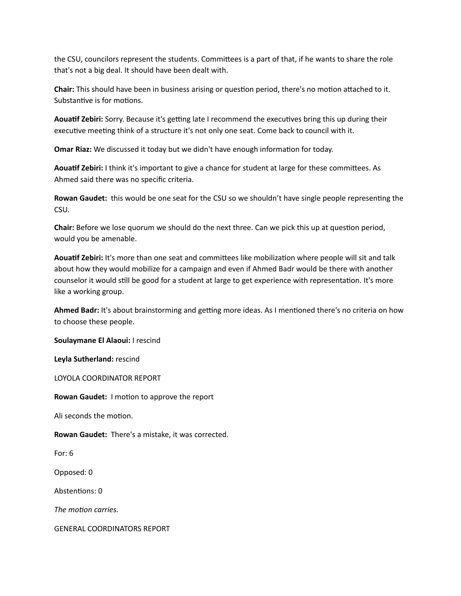the CSU, councilors represent the students. Committees is a part of that, if he wants to share the role that's not a big deal. It should have been dealt with.

**Chair:** This should have been in business arising or question period, there's no motion attached to it. Substantive is for motions.

Aouatif Zebiri: Sorry. Because it's getting late I recommend the executives bring this up during their executive meeting think of a structure it's not only one seat. Come back to council with it.

**Omar Riaz:** We discussed it today but we didn't have enough information for today.

Aouatif Zebiri: I think it's important to give a chance for student at large for these committees. As Ahmed said there was no specific criteria.

**Rowan Gaudet:** this would be one seat for the CSU so we shouldn't have single people representing the CSU. 

**Chair:** Before we lose quorum we should do the next three. Can we pick this up at question period, would you be amenable.

Aouatif Zebiri: It's more than one seat and committees like mobilization where people will sit and talk about how they would mobilize for a campaign and even if Ahmed Badr would be there with another counselor it would still be good for a student at large to get experience with representation. It's more like a working group.

Ahmed Badr: It's about brainstorming and getting more ideas. As I mentioned there's no criteria on how to choose these people.

**Soulaymane El Alaoui:** I rescind

Leyla Sutherland: rescind

LOYOLA COORDINATOR REPORT

**Rowan Gaudet:** I motion to approve the report

Ali seconds the motion.

**Rowan Gaudet:** There's a mistake, it was corrected.

For:  $6$ 

Opposed: 0

Abstentions: 0

The motion carries.

**GENERAL COORDINATORS REPORT**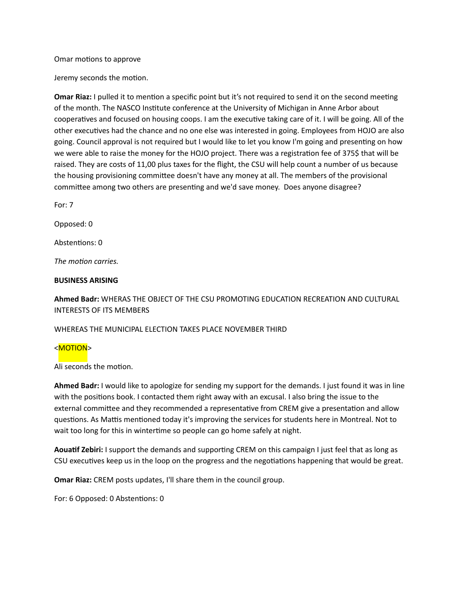#### Omar motions to approve

Jeremy seconds the motion.

**Omar Riaz:** I pulled it to mention a specific point but it's not required to send it on the second meeting of the month. The NASCO Institute conference at the University of Michigan in Anne Arbor about cooperatives and focused on housing coops. I am the executive taking care of it. I will be going. All of the other executives had the chance and no one else was interested in going. Employees from HOJO are also going. Council approval is not required but I would like to let you know I'm going and presenting on how we were able to raise the money for the HOJO project. There was a registration fee of 375\$ that will be raised. They are costs of 11,00 plus taxes for the flight, the CSU will help count a number of us because the housing provisioning committee doesn't have any money at all. The members of the provisional committee among two others are presenting and we'd save money. Does anyone disagree?

For: 7

Opposed: 0

Abstentions: 0

The *motion* carries.

#### **BUSINESS ARISING**

Ahmed Badr: WHERAS THE OBJECT OF THE CSU PROMOTING EDUCATION RECREATION AND CULTURAL INTERESTS OF ITS MEMBERS

WHEREAS THE MUNICIPAL ELECTION TAKES PLACE NOVEMBER THIRD

#### <MOTION>

Ali seconds the motion.

**Ahmed Badr:** I would like to apologize for sending my support for the demands. I just found it was in line with the positions book. I contacted them right away with an excusal. I also bring the issue to the external committee and they recommended a representative from CREM give a presentation and allow questions. As Mattis mentioned today it's improving the services for students here in Montreal. Not to wait too long for this in wintertime so people can go home safely at night.

Aouatif Zebiri: I support the demands and supporting CREM on this campaign I just feel that as long as CSU executives keep us in the loop on the progress and the negotiations happening that would be great.

**Omar Riaz:** CREM posts updates, I'll share them in the council group.

For: 6 Opposed: 0 Abstentions: 0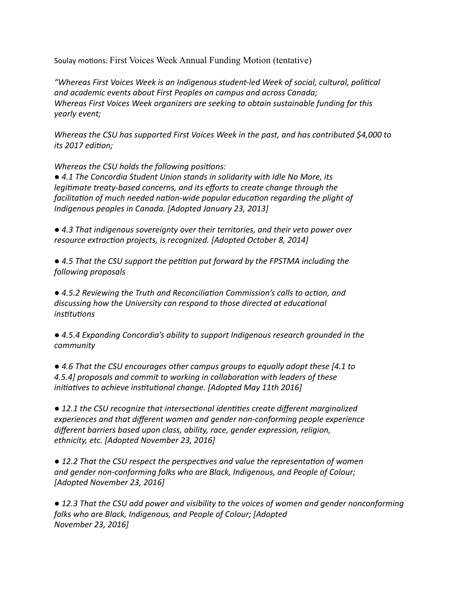Soulay motions: First Voices Week Annual Funding Motion (tentative)

*"Whereas First Voices Week is an Indigenous student-led Week of social, cultural, poli#cal* and academic events about First Peoples on campus and across Canada; *Whereas First Voices Week organizers are seeking to obtain sustainable funding for this yearly event;*

*Whereas the CSU has supported First Voices Week in the past, and has contributed \$4,000 to its* 2017 edition;

*Whereas the CSU holds the following positions:* 

● 4.1 The Concordia Student Union stands in solidarity with Idle No More, its *legitimate treaty-based concerns, and its efforts to create change through the facilitation of much needed nation-wide popular education regarding the plight of Indigenous peoples in Canada. [Adopted January 23, 2013]* 

● 4.3 That indigenous sovereignty over their territories, and their veto power over *resource extraction projects, is recognized.* [Adopted October 8, 2014]

● 4.5 That the CSU support the petition put forward by the FPSTMA including the *following proposals*

● 4.5.2 Reviewing the Truth and Reconciliation Commission's calls to action, and discussing how the University can respond to those directed at educational  $in$ *stitutions* 

● 4.5.4 Expanding Concordia's ability to support Indigenous research grounded in the *community*

● 4.6 That the CSU encourages other campus groups to equally adopt these [4.1 to *4.5.4] proposals and commit to working in collabora#on with leaders of these initiatives to achieve institutional change.* [Adopted May 11th 2016]

● 12.1 the CSU recognize that intersectional identities create different marginalized experiences and that different women and gender non-conforming people experience different barriers based upon class, ability, race, gender expression, religion, ethnicity, etc. [Adopted November 23, 2016]

● 12.2 That the CSU respect the perspectives and value the representation of women and gender non-conforming folks who are Black, Indigenous, and People of Colour; *[Adopted November 23, 2016]*

● 12.3 That the CSU add power and visibility to the voices of women and gender nonconforming *folks* who are Black, Indigenous, and People of Colour; [Adopted] *November 23, 2016]*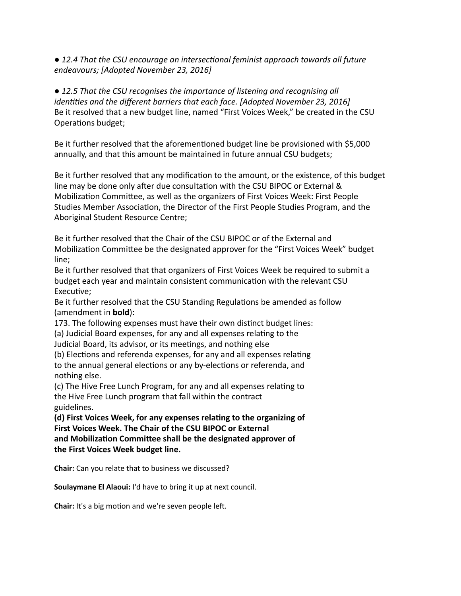● 12.4 That the CSU encourage an intersectional feminist approach towards all future *endeavours; [Adopted November 23, 2016]*

● 12.5 That the CSU recognises the importance of listening and recognising all *identities and the different barriers that each face. [Adopted November 23, 2016]* Be it resolved that a new budget line, named "First Voices Week," be created in the CSU Operations budget;

Be it further resolved that the aforementioned budget line be provisioned with \$5,000 annually, and that this amount be maintained in future annual CSU budgets;

Be it further resolved that any modification to the amount, or the existence, of this budget line may be done only after due consultation with the CSU BIPOC or External & Mobilization Committee, as well as the organizers of First Voices Week: First People Studies Member Association, the Director of the First People Studies Program, and the Aboriginal Student Resource Centre;

Be it further resolved that the Chair of the CSU BIPOC or of the External and Mobilization Committee be the designated approver for the "First Voices Week" budget line;

Be it further resolved that that organizers of First Voices Week be required to submit a budget each year and maintain consistent communication with the relevant CSU Executive:

Be it further resolved that the CSU Standing Regulations be amended as follow (amendment in **bold**):

173. The following expenses must have their own distinct budget lines: (a) Judicial Board expenses, for any and all expenses relating to the Judicial Board, its advisor, or its meetings, and nothing else

(b) Elections and referenda expenses, for any and all expenses relating to the annual general elections or any by-elections or referenda, and nothing else.

(c) The Hive Free Lunch Program, for any and all expenses relating to the Hive Free Lunch program that fall within the contract guidelines.

(d) First Voices Week, for any expenses relating to the organizing of **First Voices Week. The Chair of the CSU BIPOC or External** and Mobilization Committee shall be the designated approver of **the First Voices Week budget line.** 

**Chair:** Can you relate that to business we discussed?

**Soulaymane El Alaoui:** I'd have to bring it up at next council.

**Chair:** It's a big motion and we're seven people left.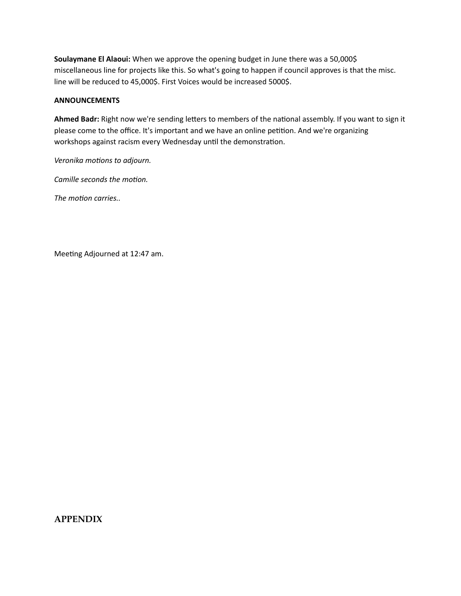**Soulaymane El Alaoui:** When we approve the opening budget in June there was a 50,000\$ miscellaneous line for projects like this. So what's going to happen if council approves is that the misc. line will be reduced to 45,000\$. First Voices would be increased 5000\$.

### **ANNOUNCEMENTS**

Ahmed Badr: Right now we're sending letters to members of the national assembly. If you want to sign it please come to the office. It's important and we have an online petition. And we're organizing workshops against racism every Wednesday until the demonstration.

*Veronika motions to adjourn.* 

*Camille seconds the motion.* 

The *motion* carries..

Meeting Adjourned at 12:47 am.

# **APPENDIX**